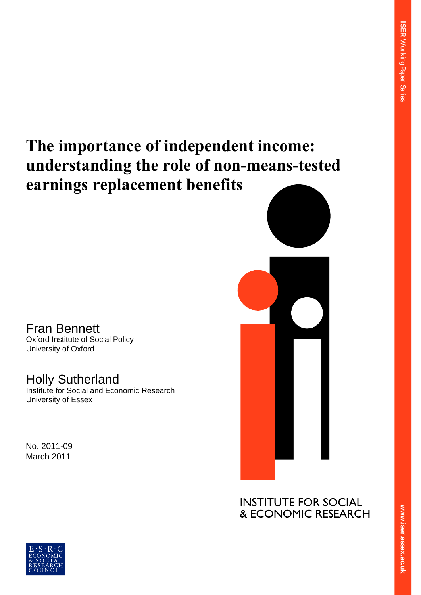**ER** 

Working Paper Series

# **The importance of independent income: understanding the role of non-means-tested earnings replacement benefits**

## Fran Bennett

Oxford Institute of Social Policy University of Oxford

## Holly Sutherland

Institute for Social and Economic Research University of Essex

No. 2011-09 March 2011



**RESE ex.ac.uk**  $\overline{\mathbf{S}}$ **.**<br>.<br>. **er.essex.ac.uk**



**ww.iser.essex.ac.uk**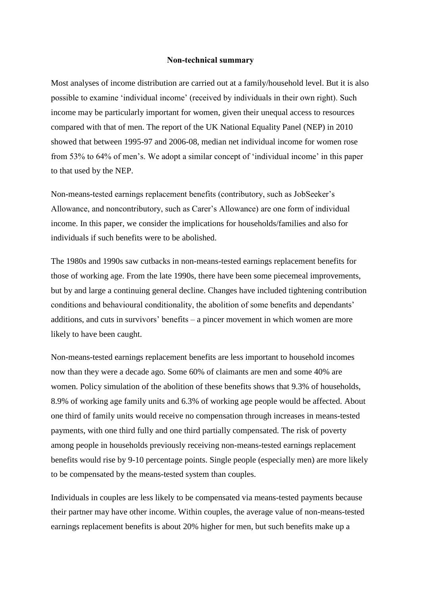#### **Non-technical summary**

Most analyses of income distribution are carried out at a family/household level. But it is also possible to examine "individual income" (received by individuals in their own right). Such income may be particularly important for women, given their unequal access to resources compared with that of men. The report of the UK National Equality Panel (NEP) in 2010 showed that between 1995-97 and 2006-08, median net individual income for women rose from 53% to 64% of men"s. We adopt a similar concept of "individual income" in this paper to that used by the NEP.

Non-means-tested earnings replacement benefits (contributory, such as JobSeeker"s Allowance, and noncontributory, such as Carer"s Allowance) are one form of individual income. In this paper, we consider the implications for households/families and also for individuals if such benefits were to be abolished.

The 1980s and 1990s saw cutbacks in non-means-tested earnings replacement benefits for those of working age. From the late 1990s, there have been some piecemeal improvements, but by and large a continuing general decline. Changes have included tightening contribution conditions and behavioural conditionality, the abolition of some benefits and dependants' additions, and cuts in survivors" benefits – a pincer movement in which women are more likely to have been caught.

Non-means-tested earnings replacement benefits are less important to household incomes now than they were a decade ago. Some 60% of claimants are men and some 40% are women. Policy simulation of the abolition of these benefits shows that 9.3% of households, 8.9% of working age family units and 6.3% of working age people would be affected. About one third of family units would receive no compensation through increases in means-tested payments, with one third fully and one third partially compensated. The risk of poverty among people in households previously receiving non-means-tested earnings replacement benefits would rise by 9-10 percentage points. Single people (especially men) are more likely to be compensated by the means-tested system than couples.

Individuals in couples are less likely to be compensated via means-tested payments because their partner may have other income. Within couples, the average value of non-means-tested earnings replacement benefits is about 20% higher for men, but such benefits make up a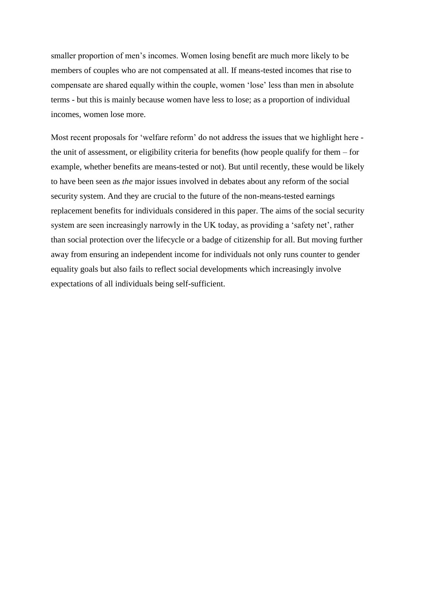smaller proportion of men's incomes. Women losing benefit are much more likely to be members of couples who are not compensated at all. If means-tested incomes that rise to compensate are shared equally within the couple, women "lose" less than men in absolute terms - but this is mainly because women have less to lose; as a proportion of individual incomes, women lose more.

Most recent proposals for "welfare reform" do not address the issues that we highlight here the unit of assessment, or eligibility criteria for benefits (how people qualify for them – for example, whether benefits are means-tested or not). But until recently, these would be likely to have been seen as *the* major issues involved in debates about any reform of the social security system. And they are crucial to the future of the non-means-tested earnings replacement benefits for individuals considered in this paper. The aims of the social security system are seen increasingly narrowly in the UK today, as providing a 'safety net', rather than social protection over the lifecycle or a badge of citizenship for all. But moving further away from ensuring an independent income for individuals not only runs counter to gender equality goals but also fails to reflect social developments which increasingly involve expectations of all individuals being self-sufficient.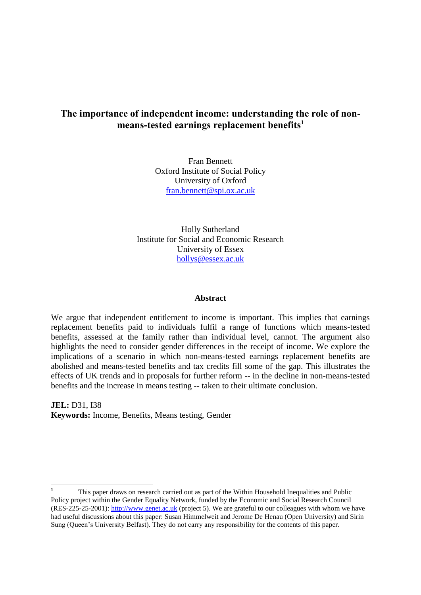## **The importance of independent income: understanding the role of nonmeans-tested earnings replacement benefits<sup>1</sup>**

Fran Bennett Oxford Institute of Social Policy University of Oxford [fran.bennett@spi.ox.ac.uk](mailto:fran.bennett@spi.ox.ac.uk)

Holly Sutherland Institute for Social and Economic Research University of Essex [hollys@essex.ac.uk](mailto:hollys@essex.ac.uk)

#### **Abstract**

We argue that independent entitlement to income is important. This implies that earnings replacement benefits paid to individuals fulfil a range of functions which means-tested benefits, assessed at the family rather than individual level, cannot. The argument also highlights the need to consider gender differences in the receipt of income. We explore the implications of a scenario in which non-means-tested earnings replacement benefits are abolished and means-tested benefits and tax credits fill some of the gap. This illustrates the effects of UK trends and in proposals for further reform -- in the decline in non-means-tested benefits and the increase in means testing -- taken to their ultimate conclusion.

**JEL:** D31, I38 **Keywords:** Income, Benefits, Means testing, Gender

 $\mathbf{1}$ **<sup>1</sup>** This paper draws on research carried out as part of the Within Household Inequalities and Public Policy project within the Gender Equality Network, funded by the Economic and Social Research Council (RES-225-25-2001): [http://www.genet.ac.uk](http://www.genet.ac.uk/) (project 5). We are grateful to our colleagues with whom we have had useful discussions about this paper: Susan Himmelweit and Jerome De Henau (Open University) and Sirin Sung (Queen"s University Belfast). They do not carry any responsibility for the contents of this paper.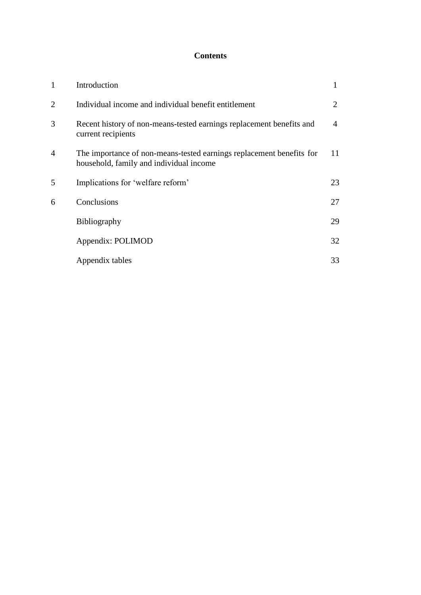## **Contents**

| 1              | Introduction                                                                                                    |    |
|----------------|-----------------------------------------------------------------------------------------------------------------|----|
| $\overline{2}$ | Individual income and individual benefit entitlement                                                            | 2  |
| 3              | Recent history of non-means-tested earnings replacement benefits and<br>current recipients                      | 4  |
| 4              | The importance of non-means-tested earnings replacement benefits for<br>household, family and individual income | 11 |
| 5              | Implications for 'welfare reform'                                                                               | 23 |
| 6              | Conclusions                                                                                                     | 27 |
|                | <b>Bibliography</b>                                                                                             | 29 |
|                | Appendix: POLIMOD                                                                                               | 32 |
|                | Appendix tables                                                                                                 | 33 |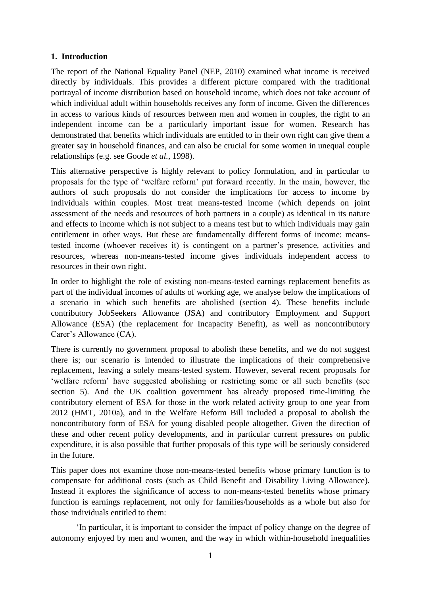## **1. Introduction**

The report of the National Equality Panel (NEP, 2010) examined what income is received directly by individuals. This provides a different picture compared with the traditional portrayal of income distribution based on household income, which does not take account of which individual adult within households receives any form of income. Given the differences in access to various kinds of resources between men and women in couples, the right to an independent income can be a particularly important issue for women. Research has demonstrated that benefits which individuals are entitled to in their own right can give them a greater say in household finances, and can also be crucial for some women in unequal couple relationships (e.g. see Goode *et al.*, 1998).

This alternative perspective is highly relevant to policy formulation, and in particular to proposals for the type of "welfare reform" put forward recently. In the main, however, the authors of such proposals do not consider the implications for access to income by individuals within couples. Most treat means-tested income (which depends on joint assessment of the needs and resources of both partners in a couple) as identical in its nature and effects to income which is not subject to a means test but to which individuals may gain entitlement in other ways. But these are fundamentally different forms of income: meanstested income (whoever receives it) is contingent on a partner"s presence, activities and resources, whereas non-means-tested income gives individuals independent access to resources in their own right.

In order to highlight the role of existing non-means-tested earnings replacement benefits as part of the individual incomes of adults of working age, we analyse below the implications of a scenario in which such benefits are abolished (section 4). These benefits include contributory JobSeekers Allowance (JSA) and contributory Employment and Support Allowance (ESA) (the replacement for Incapacity Benefit), as well as noncontributory Carer"s Allowance (CA).

There is currently no government proposal to abolish these benefits, and we do not suggest there is; our scenario is intended to illustrate the implications of their comprehensive replacement, leaving a solely means-tested system. However, several recent proposals for "welfare reform" have suggested abolishing or restricting some or all such benefits (see section 5). And the UK coalition government has already proposed time-limiting the contributory element of ESA for those in the work related activity group to one year from 2012 (HMT, 2010a), and in the Welfare Reform Bill included a proposal to abolish the noncontributory form of ESA for young disabled people altogether. Given the direction of these and other recent policy developments, and in particular current pressures on public expenditure, it is also possible that further proposals of this type will be seriously considered in the future.

This paper does not examine those non-means-tested benefits whose primary function is to compensate for additional costs (such as Child Benefit and Disability Living Allowance). Instead it explores the significance of access to non-means-tested benefits whose primary function is earnings replacement, not only for families/households as a whole but also for those individuals entitled to them:

"In particular, it is important to consider the impact of policy change on the degree of autonomy enjoyed by men and women, and the way in which within-household inequalities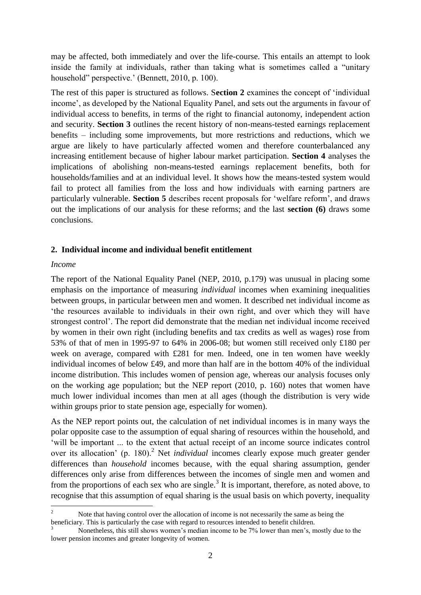may be affected, both immediately and over the life-course. This entails an attempt to look inside the family at individuals, rather than taking what is sometimes called a "unitary household" perspective.' (Bennett, 2010, p. 100).

The rest of this paper is structured as follows. S**ection 2** examines the concept of "individual income', as developed by the National Equality Panel, and sets out the arguments in favour of individual access to benefits, in terms of the right to financial autonomy, independent action and security. **Section 3** outlines the recent history of non-means-tested earnings replacement benefits – including some improvements, but more restrictions and reductions, which we argue are likely to have particularly affected women and therefore counterbalanced any increasing entitlement because of higher labour market participation. **Section 4** analyses the implications of abolishing non-means-tested earnings replacement benefits, both for households/families and at an individual level. It shows how the means-tested system would fail to protect all families from the loss and how individuals with earning partners are particularly vulnerable. **Section 5** describes recent proposals for "welfare reform", and draws out the implications of our analysis for these reforms; and the last **section (6)** draws some conclusions.

## **2. Individual income and individual benefit entitlement**

## *Income*

The report of the National Equality Panel (NEP, 2010, p.179) was unusual in placing some emphasis on the importance of measuring *individual* incomes when examining inequalities between groups, in particular between men and women. It described net individual income as "the resources available to individuals in their own right, and over which they will have strongest control". The report did demonstrate that the median net individual income received by women in their own right (including benefits and tax credits as well as wages) rose from 53% of that of men in 1995-97 to 64% in 2006-08; but women still received only £180 per week on average, compared with £281 for men. Indeed, one in ten women have weekly individual incomes of below £49, and more than half are in the bottom 40% of the individual income distribution. This includes women of pension age, whereas our analysis focuses only on the working age population; but the NEP report (2010, p. 160) notes that women have much lower individual incomes than men at all ages (though the distribution is very wide within groups prior to state pension age, especially for women).

As the NEP report points out, the calculation of net individual incomes is in many ways the polar opposite case to the assumption of equal sharing of resources within the household, and "will be important ... to the extent that actual receipt of an income source indicates control over its allocation' (p. 180).<sup>2</sup> Net *individual* incomes clearly expose much greater gender differences than *household* incomes because, with the equal sharing assumption, gender differences only arise from differences between the incomes of single men and women and from the proportions of each sex who are single. $3$  It is important, therefore, as noted above, to recognise that this assumption of equal sharing is the usual basis on which poverty, inequality

 $\overline{c}$ <sup>2</sup> Note that having control over the allocation of income is not necessarily the same as being the beneficiary. This is particularly the case with regard to resources intended to benefit children.

<sup>3</sup> Nonetheless, this still shows women"s median income to be 7% lower than men"s, mostly due to the lower pension incomes and greater longevity of women.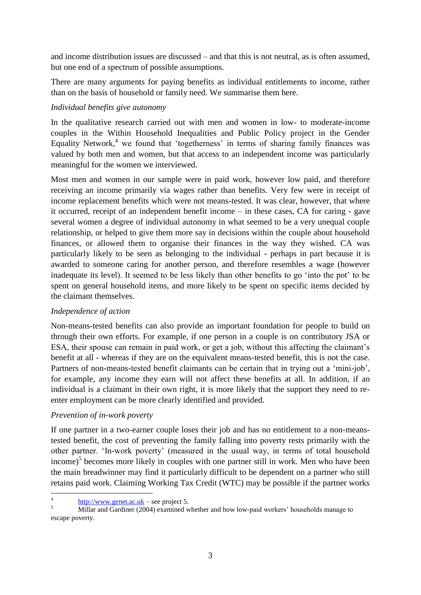and income distribution issues are discussed – and that this is not neutral, as is often assumed, but one end of a spectrum of possible assumptions.

There are many arguments for paying benefits as individual entitlements to income, rather than on the basis of household or family need. We summarise them here.

## *Individual benefits give autonomy*

In the qualitative research carried out with men and women in low- to moderate-income couples in the Within Household Inequalities and Public Policy project in the Gender Equality Network,<sup>4</sup> we found that 'togetherness' in terms of sharing family finances was valued by both men and women, but that access to an independent income was particularly meaningful for the women we interviewed.

Most men and women in our sample were in paid work, however low paid, and therefore receiving an income primarily via wages rather than benefits. Very few were in receipt of income replacement benefits which were not means-tested. It was clear, however, that where it occurred, receipt of an independent benefit income – in these cases, CA for caring - gave several women a degree of individual autonomy in what seemed to be a very unequal couple relationship, or helped to give them more say in decisions within the couple about household finances, or allowed them to organise their finances in the way they wished. CA was particularly likely to be seen as belonging to the individual - perhaps in part because it is awarded to someone caring for another person, and therefore resembles a wage (however inadequate its level). It seemed to be less likely than other benefits to go "into the pot" to be spent on general household items, and more likely to be spent on specific items decided by the claimant themselves.

## *Independence of action*

Non-means-tested benefits can also provide an important foundation for people to build on through their own efforts. For example, if one person in a couple is on contributory JSA or ESA, their spouse can remain in paid work, or get a job, without this affecting the claimant's benefit at all - whereas if they are on the equivalent means-tested benefit, this is not the case. Partners of non-means-tested benefit claimants can be certain that in trying out a 'mini-job', for example, any income they earn will not affect these benefits at all. In addition, if an individual is a claimant in their own right, it is more likely that the support they need to reenter employment can be more clearly identified and provided.

## *Prevention of in-work poverty*

If one partner in a two-earner couple loses their job and has no entitlement to a non-meanstested benefit, the cost of preventing the family falling into poverty rests primarily with the other partner. "In-work poverty" (measured in the usual way, in terms of total household income) $<sup>5</sup>$  becomes more likely in couples with one partner still in work. Men who have been</sup> the main breadwinner may find it particularly difficult to be dependent on a partner who still retains paid work. Claiming Working Tax Credit (WTC) may be possible if the partner works

<sup>&</sup>lt;u>.</u> 4 [http://www.genet.ac.uk](http://www.genet.ac.uk/) – see project 5.

 $\frac{1}{5}$  Millar and Gardiner (2004) examined whether and how low-paid workers' households manage to escape poverty.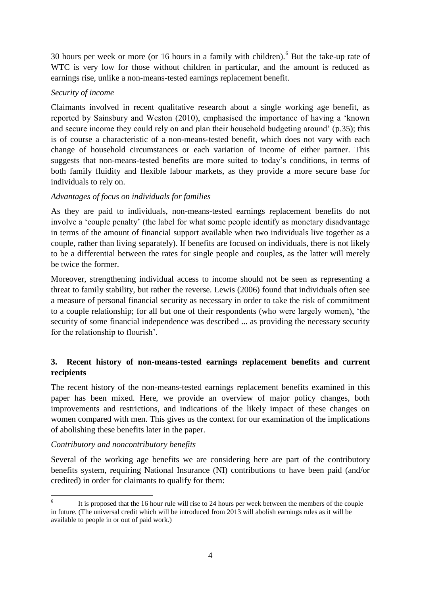30 hours per week or more (or 16 hours in a family with children).<sup>6</sup> But the take-up rate of WTC is very low for those without children in particular, and the amount is reduced as earnings rise, unlike a non-means-tested earnings replacement benefit.

## *Security of income*

Claimants involved in recent qualitative research about a single working age benefit, as reported by Sainsbury and Weston (2010), emphasised the importance of having a "known and secure income they could rely on and plan their household budgeting around' (p.35); this is of course a characteristic of a non-means-tested benefit, which does not vary with each change of household circumstances or each variation of income of either partner. This suggests that non-means-tested benefits are more suited to today"s conditions, in terms of both family fluidity and flexible labour markets, as they provide a more secure base for individuals to rely on.

## *Advantages of focus on individuals for families*

As they are paid to individuals, non-means-tested earnings replacement benefits do not involve a "couple penalty" (the label for what some people identify as monetary disadvantage in terms of the amount of financial support available when two individuals live together as a couple, rather than living separately). If benefits are focused on individuals, there is not likely to be a differential between the rates for single people and couples, as the latter will merely be twice the former.

Moreover, strengthening individual access to income should not be seen as representing a threat to family stability, but rather the reverse. Lewis (2006) found that individuals often see a measure of personal financial security as necessary in order to take the risk of commitment to a couple relationship; for all but one of their respondents (who were largely women), "the security of some financial independence was described ... as providing the necessary security for the relationship to flourish".

## **3. Recent history of non-means-tested earnings replacement benefits and current recipients**

The recent history of the non-means-tested earnings replacement benefits examined in this paper has been mixed. Here, we provide an overview of major policy changes, both improvements and restrictions, and indications of the likely impact of these changes on women compared with men. This gives us the context for our examination of the implications of abolishing these benefits later in the paper.

## *Contributory and noncontributory benefits*

Several of the working age benefits we are considering here are part of the contributory benefits system, requiring National Insurance (NI) contributions to have been paid (and/or credited) in order for claimants to qualify for them:

 $\frac{1}{6}$ It is proposed that the 16 hour rule will rise to 24 hours per week between the members of the couple in future. (The universal credit which will be introduced from 2013 will abolish earnings rules as it will be available to people in or out of paid work.)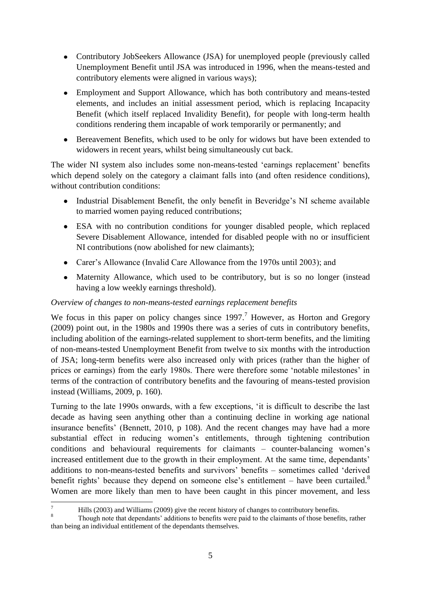- Contributory JobSeekers Allowance (JSA) for unemployed people (previously called Unemployment Benefit until JSA was introduced in 1996, when the means-tested and contributory elements were aligned in various ways);
- Employment and Support Allowance, which has both contributory and means-tested elements, and includes an initial assessment period, which is replacing Incapacity Benefit (which itself replaced Invalidity Benefit), for people with long-term health conditions rendering them incapable of work temporarily or permanently; and
- Bereavement Benefits, which used to be only for widows but have been extended to widowers in recent years, whilst being simultaneously cut back.

The wider NI system also includes some non-means-tested 'earnings replacement' benefits which depend solely on the category a claimant falls into (and often residence conditions), without contribution conditions:

- Industrial Disablement Benefit, the only benefit in Beveridge"s NI scheme available to married women paying reduced contributions;
- ESA with no contribution conditions for younger disabled people, which replaced Severe Disablement Allowance, intended for disabled people with no or insufficient NI contributions (now abolished for new claimants);
- Carer"s Allowance (Invalid Care Allowance from the 1970s until 2003); and
- Maternity Allowance, which used to be contributory, but is so no longer (instead having a low weekly earnings threshold).

## *Overview of changes to non-means-tested earnings replacement benefits*

We focus in this paper on policy changes since  $1997<sup>7</sup>$  However, as Horton and Gregory (2009) point out, in the 1980s and 1990s there was a series of cuts in contributory benefits, including abolition of the earnings-related supplement to short-term benefits, and the limiting of non-means-tested Unemployment Benefit from twelve to six months with the introduction of JSA; long-term benefits were also increased only with prices (rather than the higher of prices or earnings) from the early 1980s. There were therefore some "notable milestones" in terms of the contraction of contributory benefits and the favouring of means-tested provision instead (Williams, 2009, p. 160).

Turning to the late 1990s onwards, with a few exceptions, "it is difficult to describe the last decade as having seen anything other than a continuing decline in working age national insurance benefits" (Bennett, 2010, p 108). And the recent changes may have had a more substantial effect in reducing women"s entitlements, through tightening contribution conditions and behavioural requirements for claimants – counter-balancing women"s increased entitlement due to the growth in their employment. At the same time, dependants' additions to non-means-tested benefits and survivors" benefits – sometimes called "derived benefit rights' because they depend on someone else's entitlement – have been curtailed. $8$ Women are more likely than men to have been caught in this pincer movement, and less

<u>.</u>

<sup>&</sup>lt;sup>7</sup> Hills (2003) and Williams (2009) give the recent history of changes to contributory benefits.

<sup>8</sup> Though note that dependants" additions to benefits were paid to the claimants of those benefits, rather than being an individual entitlement of the dependants themselves.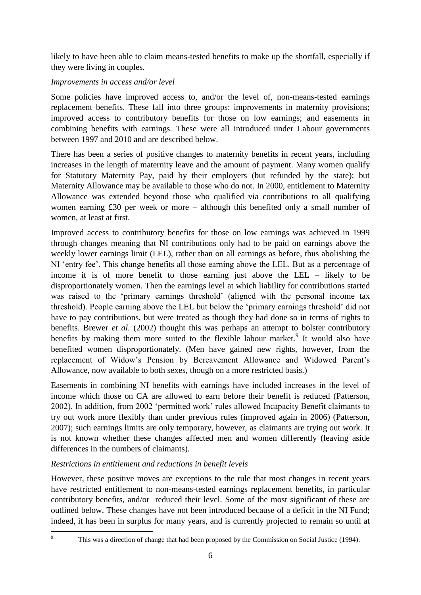likely to have been able to claim means-tested benefits to make up the shortfall, especially if they were living in couples.

## *Improvements in access and/or level*

Some policies have improved access to, and/or the level of, non-means-tested earnings replacement benefits. These fall into three groups: improvements in maternity provisions; improved access to contributory benefits for those on low earnings; and easements in combining benefits with earnings. These were all introduced under Labour governments between 1997 and 2010 and are described below.

There has been a series of positive changes to maternity benefits in recent years, including increases in the length of maternity leave and the amount of payment. Many women qualify for Statutory Maternity Pay, paid by their employers (but refunded by the state); but Maternity Allowance may be available to those who do not. In 2000, entitlement to Maternity Allowance was extended beyond those who qualified via contributions to all qualifying women earning £30 per week or more – although this benefited only a small number of women, at least at first.

Improved access to contributory benefits for those on low earnings was achieved in 1999 through changes meaning that NI contributions only had to be paid on earnings above the weekly lower earnings limit (LEL), rather than on all earnings as before, thus abolishing the NI 'entry fee'. This change benefits all those earning above the LEL. But as a percentage of income it is of more benefit to those earning just above the LEL – likely to be disproportionately women. Then the earnings level at which liability for contributions started was raised to the 'primary earnings threshold' (aligned with the personal income tax threshold). People earning above the LEL but below the "primary earnings threshold" did not have to pay contributions, but were treated as though they had done so in terms of rights to benefits. Brewer *et al.* (2002) thought this was perhaps an attempt to bolster contributory benefits by making them more suited to the flexible labour market.<sup>9</sup> It would also have benefited women disproportionately. (Men have gained new rights, however, from the replacement of Widow"s Pension by Bereavement Allowance and Widowed Parent"s Allowance, now available to both sexes, though on a more restricted basis.)

Easements in combining NI benefits with earnings have included increases in the level of income which those on CA are allowed to earn before their benefit is reduced (Patterson, 2002). In addition, from 2002 "permitted work" rules allowed Incapacity Benefit claimants to try out work more flexibly than under previous rules (improved again in 2006) (Patterson, 2007); such earnings limits are only temporary, however, as claimants are trying out work. It is not known whether these changes affected men and women differently (leaving aside differences in the numbers of claimants).

## *Restrictions in entitlement and reductions in benefit levels*

However, these positive moves are exceptions to the rule that most changes in recent years have restricted entitlement to non-means-tested earnings replacement benefits, in particular contributory benefits, and/or reduced their level. Some of the most significant of these are outlined below. These changes have not been introduced because of a deficit in the NI Fund; indeed, it has been in surplus for many years, and is currently projected to remain so until at

<u>.</u>

This was a direction of change that had been proposed by the Commission on Social Justice (1994).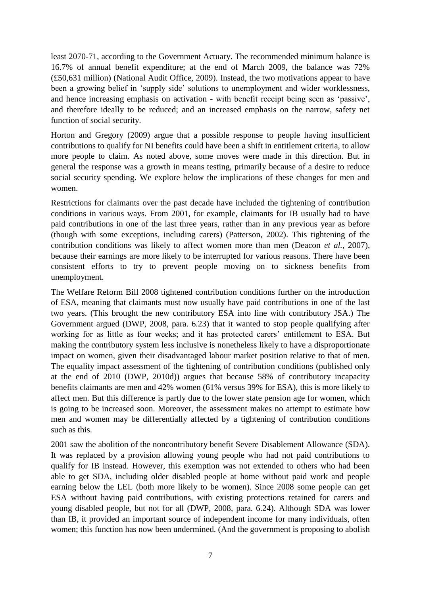least 2070-71, according to the Government Actuary. The recommended minimum balance is 16.7% of annual benefit expenditure; at the end of March 2009, the balance was 72% (£50,631 million) (National Audit Office, 2009). Instead, the two motivations appear to have been a growing belief in 'supply side' solutions to unemployment and wider worklessness, and hence increasing emphasis on activation - with benefit receipt being seen as "passive", and therefore ideally to be reduced; and an increased emphasis on the narrow, safety net function of social security.

Horton and Gregory (2009) argue that a possible response to people having insufficient contributions to qualify for NI benefits could have been a shift in entitlement criteria, to allow more people to claim. As noted above, some moves were made in this direction. But in general the response was a growth in means testing, primarily because of a desire to reduce social security spending. We explore below the implications of these changes for men and women.

Restrictions for claimants over the past decade have included the tightening of contribution conditions in various ways. From 2001, for example, claimants for IB usually had to have paid contributions in one of the last three years, rather than in any previous year as before (though with some exceptions, including carers) (Patterson, 2002). This tightening of the contribution conditions was likely to affect women more than men (Deacon *et al.*, 2007), because their earnings are more likely to be interrupted for various reasons. There have been consistent efforts to try to prevent people moving on to sickness benefits from unemployment.

The Welfare Reform Bill 2008 tightened contribution conditions further on the introduction of ESA, meaning that claimants must now usually have paid contributions in one of the last two years. (This brought the new contributory ESA into line with contributory JSA.) The Government argued (DWP, 2008, para. 6.23) that it wanted to stop people qualifying after working for as little as four weeks; and it has protected carers' entitlement to ESA. But making the contributory system less inclusive is nonetheless likely to have a disproportionate impact on women, given their disadvantaged labour market position relative to that of men. The equality impact assessment of the tightening of contribution conditions (published only at the end of 2010 (DWP, 2010d)) argues that because 58% of contributory incapacity benefits claimants are men and 42% women (61% versus 39% for ESA), this is more likely to affect men. But this difference is partly due to the lower state pension age for women, which is going to be increased soon. Moreover, the assessment makes no attempt to estimate how men and women may be differentially affected by a tightening of contribution conditions such as this.

2001 saw the abolition of the noncontributory benefit Severe Disablement Allowance (SDA). It was replaced by a provision allowing young people who had not paid contributions to qualify for IB instead. However, this exemption was not extended to others who had been able to get SDA, including older disabled people at home without paid work and people earning below the LEL (both more likely to be women). Since 2008 some people can get ESA without having paid contributions, with existing protections retained for carers and young disabled people, but not for all (DWP, 2008, para. 6.24). Although SDA was lower than IB, it provided an important source of independent income for many individuals, often women; this function has now been undermined. (And the government is proposing to abolish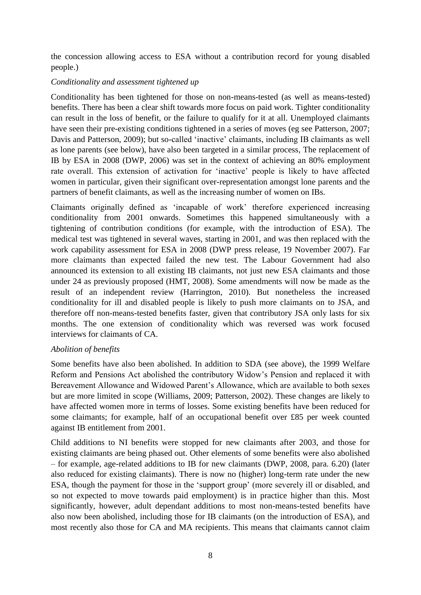the concession allowing access to ESA without a contribution record for young disabled people.)

## *Conditionality and assessment tightened up*

Conditionality has been tightened for those on non-means-tested (as well as means-tested) benefits. There has been a clear shift towards more focus on paid work. Tighter conditionality can result in the loss of benefit, or the failure to qualify for it at all. Unemployed claimants have seen their pre-existing conditions tightened in a series of moves (eg see Patterson, 2007; Davis and Patterson, 2009); but so-called 'inactive' claimants, including IB claimants as well as lone parents (see below), have also been targeted in a similar process, The replacement of IB by ESA in 2008 (DWP, 2006) was set in the context of achieving an 80% employment rate overall. This extension of activation for "inactive" people is likely to have affected women in particular, given their significant over-representation amongst lone parents and the partners of benefit claimants, as well as the increasing number of women on IBs.

Claimants originally defined as "incapable of work" therefore experienced increasing conditionality from 2001 onwards. Sometimes this happened simultaneously with a tightening of contribution conditions (for example, with the introduction of ESA). The medical test was tightened in several waves, starting in 2001, and was then replaced with the work capability assessment for ESA in 2008 (DWP press release, 19 November 2007). Far more claimants than expected failed the new test. The Labour Government had also announced its extension to all existing IB claimants, not just new ESA claimants and those under 24 as previously proposed (HMT, 2008). Some amendments will now be made as the result of an independent review (Harrington, 2010). But nonetheless the increased conditionality for ill and disabled people is likely to push more claimants on to JSA, and therefore off non-means-tested benefits faster, given that contributory JSA only lasts for six months. The one extension of conditionality which was reversed was work focused interviews for claimants of CA.

## *Abolition of benefits*

Some benefits have also been abolished. In addition to SDA (see above), the 1999 Welfare Reform and Pensions Act abolished the contributory Widow"s Pension and replaced it with Bereavement Allowance and Widowed Parent's Allowance, which are available to both sexes but are more limited in scope (Williams, 2009; Patterson, 2002). These changes are likely to have affected women more in terms of losses. Some existing benefits have been reduced for some claimants; for example, half of an occupational benefit over £85 per week counted against IB entitlement from 2001.

Child additions to NI benefits were stopped for new claimants after 2003, and those for existing claimants are being phased out. Other elements of some benefits were also abolished – for example, age-related additions to IB for new claimants (DWP, 2008, para. 6.20) (later also reduced for existing claimants). There is now no (higher) long-term rate under the new ESA, though the payment for those in the "support group" (more severely ill or disabled, and so not expected to move towards paid employment) is in practice higher than this. Most significantly, however, adult dependant additions to most non-means-tested benefits have also now been abolished, including those for IB claimants (on the introduction of ESA), and most recently also those for CA and MA recipients. This means that claimants cannot claim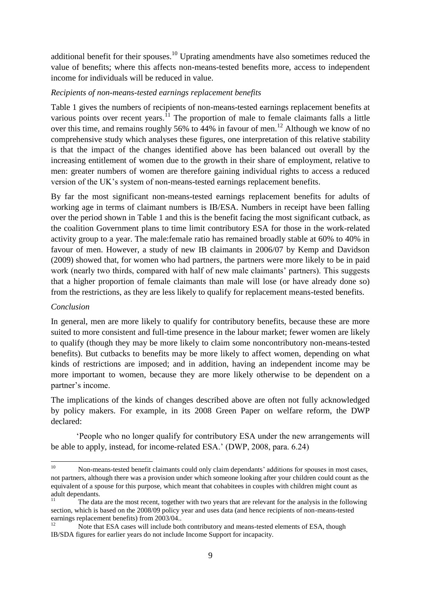additional benefit for their spouses.<sup>10</sup> Uprating amendments have also sometimes reduced the value of benefits; where this affects non-means-tested benefits more, access to independent income for individuals will be reduced in value.

## *Recipients of non-means-tested earnings replacement benefits*

Table 1 gives the numbers of recipients of non-means-tested earnings replacement benefits at various points over recent years.<sup>11</sup> The proportion of male to female claimants falls a little over this time, and remains roughly 56% to 44% in favour of men.<sup>12</sup> Although we know of no comprehensive study which analyses these figures, one interpretation of this relative stability is that the impact of the changes identified above has been balanced out overall by the increasing entitlement of women due to the growth in their share of employment, relative to men: greater numbers of women are therefore gaining individual rights to access a reduced version of the UK"s system of non-means-tested earnings replacement benefits.

By far the most significant non-means-tested earnings replacement benefits for adults of working age in terms of claimant numbers is IB/ESA. Numbers in receipt have been falling over the period shown in Table 1 and this is the benefit facing the most significant cutback, as the coalition Government plans to time limit contributory ESA for those in the work-related activity group to a year. The male:female ratio has remained broadly stable at 60% to 40% in favour of men. However, a study of new IB claimants in 2006/07 by Kemp and Davidson (2009) showed that, for women who had partners, the partners were more likely to be in paid work (nearly two thirds, compared with half of new male claimants' partners). This suggests that a higher proportion of female claimants than male will lose (or have already done so) from the restrictions, as they are less likely to qualify for replacement means-tested benefits.

## *Conclusion*

In general, men are more likely to qualify for contributory benefits, because these are more suited to more consistent and full-time presence in the labour market; fewer women are likely to qualify (though they may be more likely to claim some noncontributory non-means-tested benefits). But cutbacks to benefits may be more likely to affect women, depending on what kinds of restrictions are imposed; and in addition, having an independent income may be more important to women, because they are more likely otherwise to be dependent on a partner's income.

The implications of the kinds of changes described above are often not fully acknowledged by policy makers. For example, in its 2008 Green Paper on welfare reform, the DWP declared:

"People who no longer qualify for contributory ESA under the new arrangements will be able to apply, instead, for income-related ESA." (DWP, 2008, para. 6.24)

 $10$ <sup>10</sup> Non-means-tested benefit claimants could only claim dependants" additions for spouses in most cases, not partners, although there was a provision under which someone looking after your children could count as the equivalent of a spouse for this purpose, which meant that cohabitees in couples with children might count as adult dependants.

<sup>11</sup> The data are the most recent, together with two years that are relevant for the analysis in the following section, which is based on the 2008/09 policy year and uses data (and hence recipients of non-means-tested earnings replacement benefits) from 2003/04..

Note that ESA cases will include both contributory and means-tested elements of ESA, though IB/SDA figures for earlier years do not include Income Support for incapacity.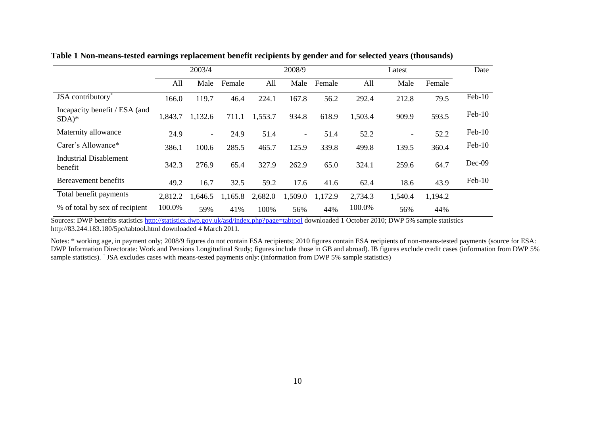|                                          |         | 2003/4  |         |         | 2008/9                   |         |         | Latest                   |         | Date     |
|------------------------------------------|---------|---------|---------|---------|--------------------------|---------|---------|--------------------------|---------|----------|
|                                          | All     | Male    | Female  | All     | Male                     | Female  | All     | Male                     | Female  |          |
| JSA contributory $+$                     | 166.0   | 119.7   | 46.4    | 224.1   | 167.8                    | 56.2    | 292.4   | 212.8                    | 79.5    | $Feb-10$ |
| Incapacity benefit / ESA (and<br>$SDA)*$ | 1,843.7 | 1,132.6 | 711.1   | 1,553.7 | 934.8                    | 618.9   | 1,503.4 | 909.9                    | 593.5   | $Feb-10$ |
| Maternity allowance                      | 24.9    | $\sim$  | 24.9    | 51.4    | $\overline{\phantom{a}}$ | 51.4    | 52.2    | $\overline{\phantom{a}}$ | 52.2    | $Feb-10$ |
| Carer's Allowance*                       | 386.1   | 100.6   | 285.5   | 465.7   | 125.9                    | 339.8   | 499.8   | 139.5                    | 360.4   | $Feb-10$ |
| Industrial Disablement<br>benefit        | 342.3   | 276.9   | 65.4    | 327.9   | 262.9                    | 65.0    | 324.1   | 259.6                    | 64.7    | Dec-09   |
| Bereavement benefits                     | 49.2    | 16.7    | 32.5    | 59.2    | 17.6                     | 41.6    | 62.4    | 18.6                     | 43.9    | $Feb-10$ |
| Total benefit payments                   | 2,812.2 | 1,646.5 | 1,165.8 | 2,682.0 | 1,509.0                  | 1,172.9 | 2,734.3 | 1,540.4                  | 1,194.2 |          |
| % of total by sex of recipient           | 100.0%  | 59%     | 41%     | 100%    | 56%                      | 44%     | 100.0%  | 56%                      | 44%     |          |

**Table 1 Non-means-tested earnings replacement benefit recipients by gender and for selected years (thousands)**

Sources: DWP benefits statistics<http://statistics.dwp.gov.uk/asd/index.php?page=tabtool> downloaded 1 October 2010; DWP 5% sample statistics http://83.244.183.180/5pc/tabtool.html downloaded 4 March 2011.

Notes: \* working age, in payment only; 2008/9 figures do not contain ESA recipients; 2010 figures contain ESA recipients of non-means-tested payments (source for ESA: DWP Information Directorate: Work and Pensions Longitudinal Study; figures include those in GB and abroad). IB figures exclude credit cases (information from DWP 5% sample statistics). + JSA excludes cases with means-tested payments only: (information from DWP 5% sample statistics)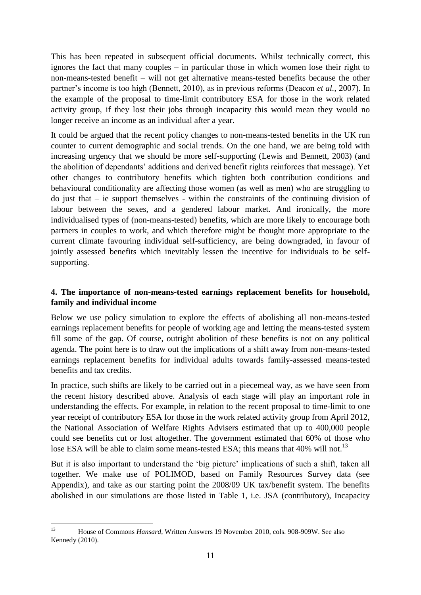This has been repeated in subsequent official documents. Whilst technically correct, this ignores the fact that many couples – in particular those in which women lose their right to non-means-tested benefit – will not get alternative means-tested benefits because the other partner's income is too high (Bennett, 2010), as in previous reforms (Deacon *et al.*, 2007). In the example of the proposal to time-limit contributory ESA for those in the work related activity group, if they lost their jobs through incapacity this would mean they would no longer receive an income as an individual after a year.

It could be argued that the recent policy changes to non-means-tested benefits in the UK run counter to current demographic and social trends. On the one hand, we are being told with increasing urgency that we should be more self-supporting (Lewis and Bennett, 2003) (and the abolition of dependants" additions and derived benefit rights reinforces that message). Yet other changes to contributory benefits which tighten both contribution conditions and behavioural conditionality are affecting those women (as well as men) who are struggling to do just that – ie support themselves - within the constraints of the continuing division of labour between the sexes, and a gendered labour market. And ironically, the more individualised types of (non-means-tested) benefits, which are more likely to encourage both partners in couples to work, and which therefore might be thought more appropriate to the current climate favouring individual self-sufficiency, are being downgraded, in favour of jointly assessed benefits which inevitably lessen the incentive for individuals to be selfsupporting.

## **4. The importance of non-means-tested earnings replacement benefits for household, family and individual income**

Below we use policy simulation to explore the effects of abolishing all non-means-tested earnings replacement benefits for people of working age and letting the means-tested system fill some of the gap. Of course, outright abolition of these benefits is not on any political agenda. The point here is to draw out the implications of a shift away from non-means-tested earnings replacement benefits for individual adults towards family-assessed means-tested benefits and tax credits.

In practice, such shifts are likely to be carried out in a piecemeal way, as we have seen from the recent history described above. Analysis of each stage will play an important role in understanding the effects. For example, in relation to the recent proposal to time-limit to one year receipt of contributory ESA for those in the work related activity group from April 2012, the National Association of Welfare Rights Advisers estimated that up to 400,000 people could see benefits cut or lost altogether. The government estimated that 60% of those who lose ESA will be able to claim some means-tested ESA; this means that 40% will not.<sup>13</sup>

But it is also important to understand the 'big picture' implications of such a shift, taken all together. We make use of POLIMOD, based on Family Resources Survey data (see Appendix), and take as our starting point the 2008/09 UK tax/benefit system. The benefits abolished in our simulations are those listed in Table 1, i.e. JSA (contributory), Incapacity

 $13$ <sup>13</sup> House of Commons *Hansard*, Written Answers 19 November 2010, cols. 908-909W. See also Kennedy (2010).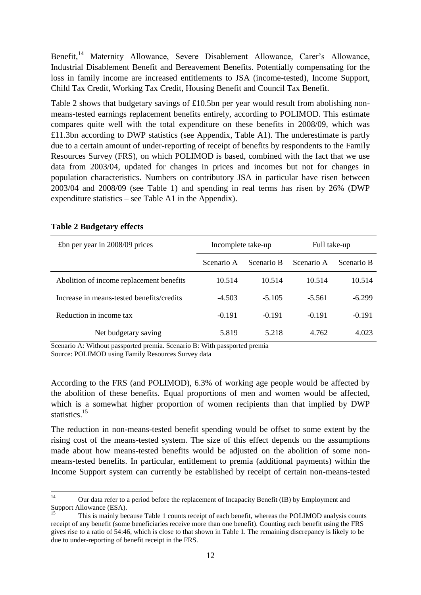Benefit,<sup>14</sup> Maternity Allowance, Severe Disablement Allowance, Carer's Allowance, Industrial Disablement Benefit and Bereavement Benefits. Potentially compensating for the loss in family income are increased entitlements to JSA (income-tested), Income Support, Child Tax Credit, Working Tax Credit, Housing Benefit and Council Tax Benefit.

Table 2 shows that budgetary savings of £10.5bn per year would result from abolishing nonmeans-tested earnings replacement benefits entirely, according to POLIMOD. This estimate compares quite well with the total expenditure on these benefits in 2008/09, which was £11.3bn according to DWP statistics (see Appendix, Table A1). The underestimate is partly due to a certain amount of under-reporting of receipt of benefits by respondents to the Family Resources Survey (FRS), on which POLIMOD is based, combined with the fact that we use data from 2003/04, updated for changes in prices and incomes but not for changes in population characteristics. Numbers on contributory JSA in particular have risen between 2003/04 and 2008/09 (see Table 1) and spending in real terms has risen by 26% (DWP expenditure statistics – see Table A1 in the Appendix).

| £bn per year in $2008/09$ prices          | Incomplete take-up |            | Full take-up |            |  |
|-------------------------------------------|--------------------|------------|--------------|------------|--|
|                                           | Scenario A         | Scenario B | Scenario A   | Scenario B |  |
| Abolition of income replacement benefits  | 10.514             | 10.514     | 10.514       | 10.514     |  |
| Increase in means-tested benefits/credits | $-4.503$           | $-5.105$   | $-5.561$     | $-6.299$   |  |
| Reduction in income tax                   | $-0.191$           | $-0.191$   | $-0.191$     | $-0.191$   |  |
| Net budgetary saving                      | 5.819              | 5.218      | 4.762        | 4.023      |  |

#### **Table 2 Budgetary effects**

Scenario A: Without passported premia. Scenario B: With passported premia

Source: POLIMOD using Family Resources Survey data

According to the FRS (and POLIMOD), 6.3% of working age people would be affected by the abolition of these benefits. Equal proportions of men and women would be affected, which is a somewhat higher proportion of women recipients than that implied by DWP statistics.<sup>15</sup>

The reduction in non-means-tested benefit spending would be offset to some extent by the rising cost of the means-tested system. The size of this effect depends on the assumptions made about how means-tested benefits would be adjusted on the abolition of some nonmeans-tested benefits. In particular, entitlement to premia (additional payments) within the Income Support system can currently be established by receipt of certain non-means-tested

 $14$ <sup>14</sup> Our data refer to a period before the replacement of Incapacity Benefit (IB) by Employment and Support Allowance (ESA).

<sup>15</sup> This is mainly because Table 1 counts receipt of each benefit, whereas the POLIMOD analysis counts receipt of any benefit (some beneficiaries receive more than one benefit). Counting each benefit using the FRS gives rise to a ratio of 54:46, which is close to that shown in Table 1. The remaining discrepancy is likely to be due to under-reporting of benefit receipt in the FRS.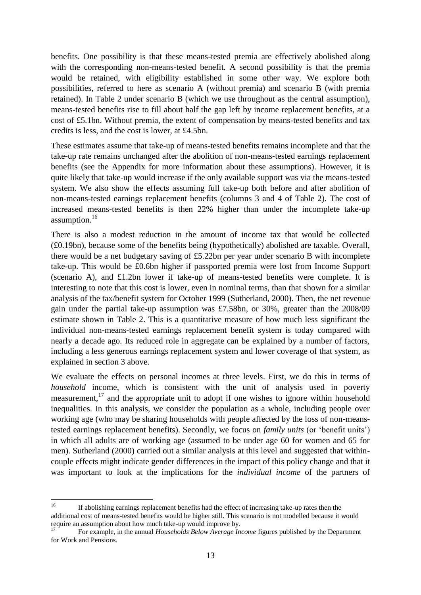benefits. One possibility is that these means-tested premia are effectively abolished along with the corresponding non-means-tested benefit. A second possibility is that the premia would be retained, with eligibility established in some other way. We explore both possibilities, referred to here as scenario A (without premia) and scenario B (with premia retained). In Table 2 under scenario B (which we use throughout as the central assumption), means-tested benefits rise to fill about half the gap left by income replacement benefits, at a cost of £5.1bn. Without premia, the extent of compensation by means-tested benefits and tax credits is less, and the cost is lower, at £4.5bn.

These estimates assume that take-up of means-tested benefits remains incomplete and that the take-up rate remains unchanged after the abolition of non-means-tested earnings replacement benefits (see the Appendix for more information about these assumptions). However, it is quite likely that take-up would increase if the only available support was via the means-tested system. We also show the effects assuming full take-up both before and after abolition of non-means-tested earnings replacement benefits (columns 3 and 4 of Table 2). The cost of increased means-tested benefits is then 22% higher than under the incomplete take-up assumption.<sup>16</sup>

There is also a modest reduction in the amount of income tax that would be collected (£0.19bn), because some of the benefits being (hypothetically) abolished are taxable. Overall, there would be a net budgetary saving of £5.22bn per year under scenario B with incomplete take-up. This would be £0.6bn higher if passported premia were lost from Income Support (scenario A), and £1.2bn lower if take-up of means-tested benefits were complete. It is interesting to note that this cost is lower, even in nominal terms, than that shown for a similar analysis of the tax/benefit system for October 1999 (Sutherland, 2000). Then, the net revenue gain under the partial take-up assumption was £7.58bn, or 30%, greater than the 2008/09 estimate shown in Table 2. This is a quantitative measure of how much less significant the individual non-means-tested earnings replacement benefit system is today compared with nearly a decade ago. Its reduced role in aggregate can be explained by a number of factors, including a less generous earnings replacement system and lower coverage of that system, as explained in section 3 above.

We evaluate the effects on personal incomes at three levels. First, we do this in terms of *household* income, which is consistent with the unit of analysis used in poverty measurement, $17$  and the appropriate unit to adopt if one wishes to ignore within household inequalities. In this analysis, we consider the population as a whole, including people over working age (who may be sharing households with people affected by the loss of non-meanstested earnings replacement benefits). Secondly, we focus on *family units* (or "benefit units") in which all adults are of working age (assumed to be under age 60 for women and 65 for men). Sutherland (2000) carried out a similar analysis at this level and suggested that withincouple effects might indicate gender differences in the impact of this policy change and that it was important to look at the implications for the *individual income* of the partners of

 $16$ <sup>16</sup> If abolishing earnings replacement benefits had the effect of increasing take-up rates then the additional cost of means-tested benefits would be higher still. This scenario is not modelled because it would require an assumption about how much take-up would improve by.

<sup>17</sup> For example, in the annual *Households Below Average Income* figures published by the Department for Work and Pensions.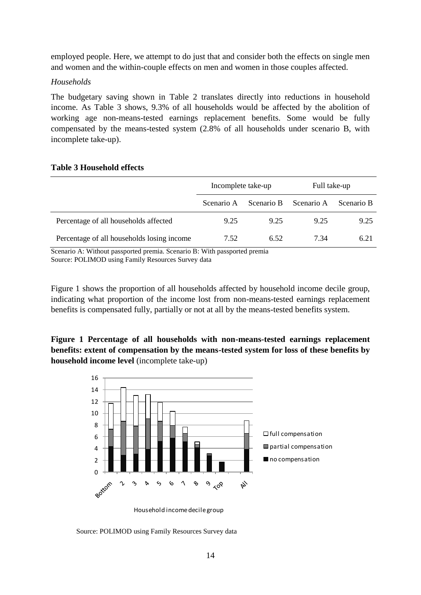employed people. Here, we attempt to do just that and consider both the effects on single men and women and the within-couple effects on men and women in those couples affected.

#### *Households*

The budgetary saving shown in Table 2 translates directly into reductions in household income. As Table 3 shows, 9.3% of all households would be affected by the abolition of working age non-means-tested earnings replacement benefits. Some would be fully compensated by the means-tested system (2.8% of all households under scenario B, with incomplete take-up).

## **Table 3 Household effects**

|                                            | Incomplete take-up |            | Full take-up |            |  |
|--------------------------------------------|--------------------|------------|--------------|------------|--|
|                                            | Scenario A         | Scenario B | Scenario A   | Scenario B |  |
| Percentage of all households affected      | 9.25               | 9.25       | 9.25         | 9.25       |  |
| Percentage of all households losing income | 7.52               | 6.52       | 7.34         | 6.21       |  |

Scenario A: Without passported premia. Scenario B: With passported premia Source: POLIMOD using Family Resources Survey data

Figure 1 shows the proportion of all households affected by household income decile group, indicating what proportion of the income lost from non-means-tested earnings replacement benefits is compensated fully, partially or not at all by the means-tested benefits system.

**Figure 1 Percentage of all households with non-means-tested earnings replacement benefits: extent of compensation by the means-tested system for loss of these benefits by** 



Household income decile group

Source: POLIMOD using Family Resources Survey data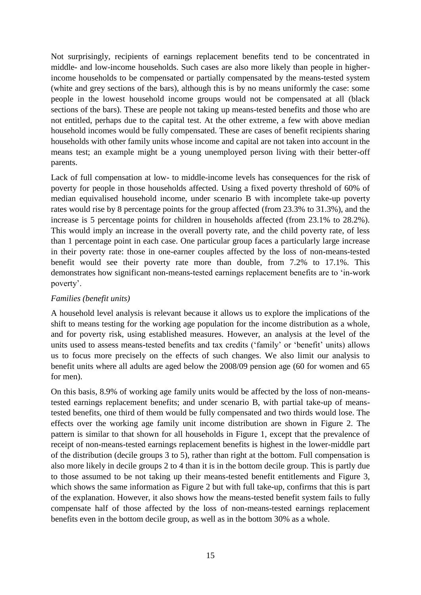Not surprisingly, recipients of earnings replacement benefits tend to be concentrated in middle- and low-income households. Such cases are also more likely than people in higherincome households to be compensated or partially compensated by the means-tested system (white and grey sections of the bars), although this is by no means uniformly the case: some people in the lowest household income groups would not be compensated at all (black sections of the bars). These are people not taking up means-tested benefits and those who are not entitled, perhaps due to the capital test. At the other extreme, a few with above median household incomes would be fully compensated. These are cases of benefit recipients sharing households with other family units whose income and capital are not taken into account in the means test; an example might be a young unemployed person living with their better-off parents.

Lack of full compensation at low- to middle-income levels has consequences for the risk of poverty for people in those households affected. Using a fixed poverty threshold of 60% of median equivalised household income, under scenario B with incomplete take-up poverty rates would rise by 8 percentage points for the group affected (from 23.3% to 31.3%), and the increase is 5 percentage points for children in households affected (from 23.1% to 28.2%). This would imply an increase in the overall poverty rate, and the child poverty rate, of less than 1 percentage point in each case. One particular group faces a particularly large increase in their poverty rate: those in one-earner couples affected by the loss of non-means-tested benefit would see their poverty rate more than double, from 7.2% to 17.1%. This demonstrates how significant non-means-tested earnings replacement benefits are to "in-work poverty".

## *Families (benefit units)*

A household level analysis is relevant because it allows us to explore the implications of the shift to means testing for the working age population for the income distribution as a whole, and for poverty risk, using established measures. However, an analysis at the level of the units used to assess means-tested benefits and tax credits ('family' or 'benefit' units) allows us to focus more precisely on the effects of such changes. We also limit our analysis to benefit units where all adults are aged below the 2008/09 pension age (60 for women and 65 for men).

On this basis, 8.9% of working age family units would be affected by the loss of non-meanstested earnings replacement benefits; and under scenario B, with partial take-up of meanstested benefits, one third of them would be fully compensated and two thirds would lose. The effects over the working age family unit income distribution are shown in Figure 2. The pattern is similar to that shown for all households in Figure 1, except that the prevalence of receipt of non-means-tested earnings replacement benefits is highest in the lower-middle part of the distribution (decile groups 3 to 5), rather than right at the bottom. Full compensation is also more likely in decile groups 2 to 4 than it is in the bottom decile group. This is partly due to those assumed to be not taking up their means-tested benefit entitlements and Figure 3, which shows the same information as Figure 2 but with full take-up, confirms that this is part of the explanation. However, it also shows how the means-tested benefit system fails to fully compensate half of those affected by the loss of non-means-tested earnings replacement benefits even in the bottom decile group, as well as in the bottom 30% as a whole.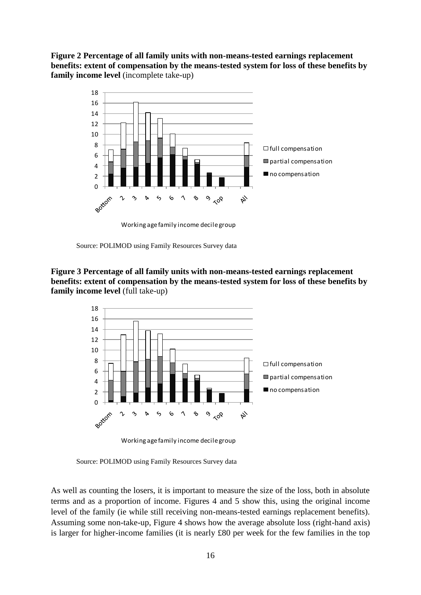# **Figure 2 Percentage of all family units with non-means-tested earnings replacement benefits: extent of compensation by the means-tested system for loss of these benefits by family income level** (incomplete take-up)



Working age family income decile group

Source: POLIMOD using Family Resources Survey data

**Figure 3 Percentage of all family units with non-means-tested earnings replacement benefits: extent of compensation by the means-tested system for loss of these benefits by** 

![](_page_20_Figure_5.jpeg)

Working age family income decile group

Source: POLIMOD using Family Resources Survey data

As well as counting the losers, it is important to measure the size of the loss, both in absolute terms and as a proportion of income. Figures 4 and 5 show this, using the original income level of the family (ie while still receiving non-means-tested earnings replacement benefits). Assuming some non-take-up, Figure 4 shows how the average absolute loss (right-hand axis) is larger for higher-income families (it is nearly £80 per week for the few families in the top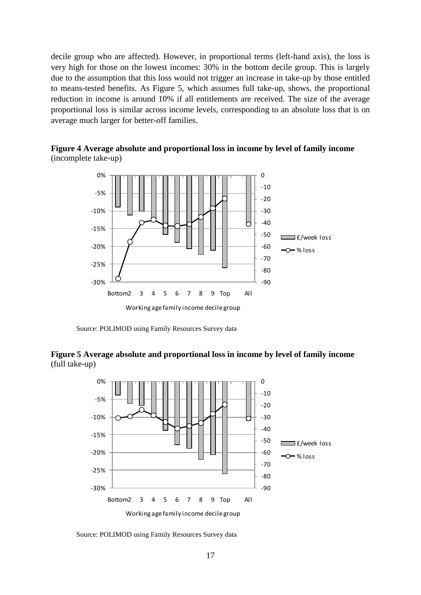decile group who are affected). However, in proportional terms (left-hand axis), the loss is very high for those on the lowest incomes: 30% in the bottom decile group. This is largely due to the assumption that this loss would not trigger an increase in take-up by those entitled to means-tested benefits. As Figure 5, which assumes full take-up, shows, the proportional reduction in income is around 10% if all entitlements are received. The size of the average proportional loss is similar across income levels, corresponding to an absolute loss that is on average much larger for better-off families.

![](_page_21_Figure_1.jpeg)

![](_page_21_Figure_2.jpeg)

Source: POLIMOD using Family Resources Survey data

**Figure 5 Average absolute and proportional loss in income by level of family income** (full take-up)

![](_page_21_Figure_5.jpeg)

Source: POLIMOD using Family Resources Survey data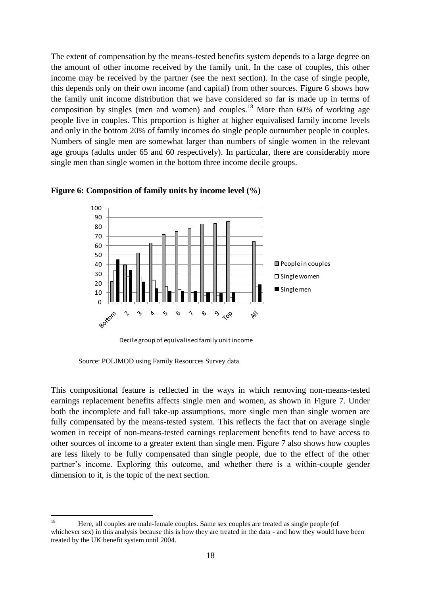The extent of compensation by the means-tested benefits system depends to a large degree on the amount of other income received by the family unit. In the case of couples, this other income may be received by the partner (see the next section). In the case of single people, this depends only on their own income (and capital) from other sources. Figure 6 shows how the family unit income distribution that we have considered so far is made up in terms of composition by singles (men and women) and couples.<sup>18</sup> More than  $60\%$  of working age people live in couples. This proportion is higher at higher equivalised family income levels and only in the bottom 20% of family incomes do single people outnumber people in couples. Numbers of single men are somewhat larger than numbers of single women in the relevant age groups (adults under 65 and 60 respectively). In particular, there are considerably more single men than single women in the bottom three income decile groups.

![](_page_22_Figure_1.jpeg)

#### **Figure 6: Composition of family units by income level (%)**

Source: POLIMOD using Family Resources Survey data

This compositional feature is reflected in the ways in which removing non-means-tested earnings replacement benefits affects single men and women, as shown in Figure 7. Under both the incomplete and full take-up assumptions, more single men than single women are fully compensated by the means-tested system. This reflects the fact that on average single women in receipt of non-means-tested earnings replacement benefits tend to have access to other sources of income to a greater extent than single men. Figure 7 also shows how couples are less likely to be fully compensated than single people, due to the effect of the other partner's income. Exploring this outcome, and whether there is a within-couple gender dimension to it, is the topic of the next section.

<sup>18</sup> <sup>18</sup> Here, all couples are male-female couples. Same sex couples are treated as single people (of whichever sex) in this analysis because this is how they are treated in the data - and how they would have been treated by the UK benefit system until 2004.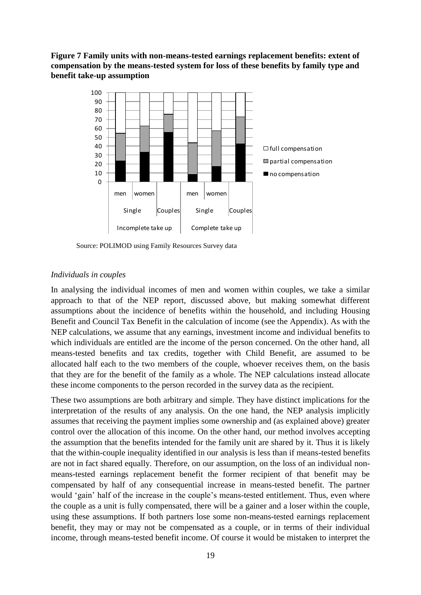## **Figure 7 Family units with non-means-tested earnings replacement benefits: extent of compensation by the means-tested system for loss of these benefits by family type and benefit take-up assumption**

![](_page_23_Figure_1.jpeg)

Source: POLIMOD using Family Resources Survey data

## *Individuals in couples*

In analysing the individual incomes of men and women within couples, we take a similar approach to that of the NEP report, discussed above, but making somewhat different assumptions about the incidence of benefits within the household, and including Housing Benefit and Council Tax Benefit in the calculation of income (see the Appendix). As with the NEP calculations, we assume that any earnings, investment income and individual benefits to which individuals are entitled are the income of the person concerned. On the other hand, all means-tested benefits and tax credits, together with Child Benefit, are assumed to be allocated half each to the two members of the couple, whoever receives them, on the basis that they are for the benefit of the family as a whole. The NEP calculations instead allocate these income components to the person recorded in the survey data as the recipient.

These two assumptions are both arbitrary and simple. They have distinct implications for the interpretation of the results of any analysis. On the one hand, the NEP analysis implicitly assumes that receiving the payment implies some ownership and (as explained above) greater control over the allocation of this income. On the other hand, our method involves accepting the assumption that the benefits intended for the family unit are shared by it. Thus it is likely that the within-couple inequality identified in our analysis is less than if means-tested benefits are not in fact shared equally. Therefore, on our assumption, on the loss of an individual nonmeans-tested earnings replacement benefit the former recipient of that benefit may be compensated by half of any consequential increase in means-tested benefit. The partner would 'gain' half of the increase in the couple's means-tested entitlement. Thus, even where the couple as a unit is fully compensated, there will be a gainer and a loser within the couple, using these assumptions. If both partners lose some non-means-tested earnings replacement benefit, they may or may not be compensated as a couple, or in terms of their individual income, through means-tested benefit income. Of course it would be mistaken to interpret the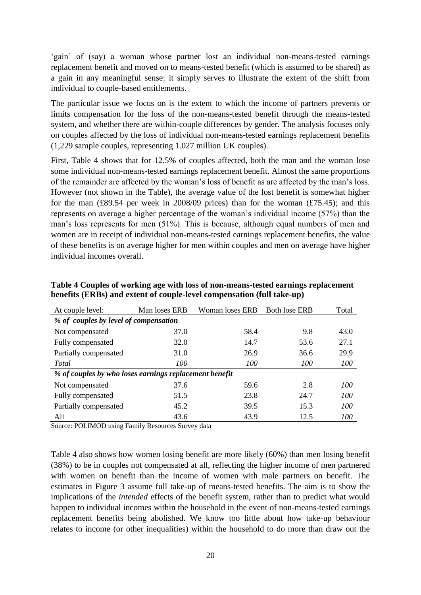'gain' of (say) a woman whose partner lost an individual non-means-tested earnings replacement benefit and moved on to means-tested benefit (which is assumed to be shared) as a gain in any meaningful sense: it simply serves to illustrate the extent of the shift from individual to couple-based entitlements.

The particular issue we focus on is the extent to which the income of partners prevents or limits compensation for the loss of the non-means-tested benefit through the means-tested system, and whether there are within-couple differences by gender. The analysis focuses only on couples affected by the loss of individual non-means-tested earnings replacement benefits (1,229 sample couples, representing 1.027 million UK couples).

First, Table 4 shows that for 12.5% of couples affected, both the man and the woman lose some individual non-means-tested earnings replacement benefit. Almost the same proportions of the remainder are affected by the woman"s loss of benefit as are affected by the man"s loss. However (not shown in the Table), the average value of the lost benefit is somewhat higher for the man  $(\text{\pounds}89.54 \text{ per week in } 2008/09 \text{ prices})$  than for the woman  $(\text{\pounds}75.45)$ ; and this represents on average a higher percentage of the woman"s individual income (57%) than the man"s loss represents for men (51%). This is because, although equal numbers of men and women are in receipt of individual non-means-tested earnings replacement benefits, the value of these benefits is on average higher for men within couples and men on average have higher individual incomes overall.

| At couple level:                                       | Man loses ERB | Woman loses ERB | <b>Both lose ERB</b> | Total |  |  |  |  |
|--------------------------------------------------------|---------------|-----------------|----------------------|-------|--|--|--|--|
| % of couples by level of compensation                  |               |                 |                      |       |  |  |  |  |
| Not compensated                                        | 37.0          | 58.4            | 9.8                  | 43.0  |  |  |  |  |
| Fully compensated                                      | 32.0          | 14.7            | 53.6                 | 27.1  |  |  |  |  |
| Partially compensated                                  | 31.0          | 26.9            | 36.6                 | 29.9  |  |  |  |  |
| Total                                                  | 100           | 100             | 100                  | 100   |  |  |  |  |
| % of couples by who loses earnings replacement benefit |               |                 |                      |       |  |  |  |  |
| Not compensated                                        | 37.6          | 59.6            | 2.8                  | 100   |  |  |  |  |
| Fully compensated                                      | 51.5          | 23.8            | 24.7                 | 100   |  |  |  |  |
| Partially compensated                                  | 45.2          | 39.5            | 15.3                 | 100   |  |  |  |  |
| All                                                    | 43.6          | 43.9            | 12.5                 | 100   |  |  |  |  |

**Table 4 Couples of working age with loss of non-means-tested earnings replacement benefits (ERBs) and extent of couple-level compensation (full take-up)**

Source: POLIMOD using Family Resources Survey data

Table 4 also shows how women losing benefit are more likely (60%) than men losing benefit (38%) to be in couples not compensated at all, reflecting the higher income of men partnered with women on benefit than the income of women with male partners on benefit. The estimates in Figure 3 assume full take-up of means-tested benefits. The aim is to show the implications of the *intended* effects of the benefit system, rather than to predict what would happen to individual incomes within the household in the event of non-means-tested earnings replacement benefits being abolished. We know too little about how take-up behaviour relates to income (or other inequalities) within the household to do more than draw out the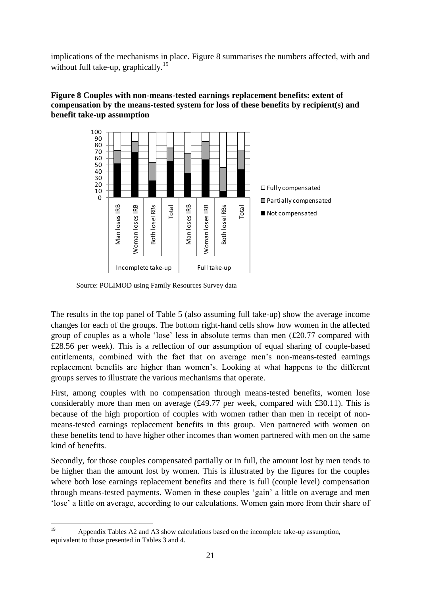implications of the mechanisms in place. Figure 8 summarises the numbers affected, with and without full take-up, graphically.<sup>19</sup>

![](_page_25_Figure_1.jpeg)

## **Figure 8 Couples with non-means-tested earnings replacement benefits: extent of compensation by the means-tested system for loss of these benefits by recipient(s) and benefit take-up assumption**

Source: POLIMOD using Family Resources Survey data

The results in the top panel of Table 5 (also assuming full take-up) show the average income changes for each of the groups. The bottom right-hand cells show how women in the affected group of couples as a whole "lose" less in absolute terms than men (£20.77 compared with £28.56 per week). This is a reflection of our assumption of equal sharing of couple-based entitlements, combined with the fact that on average men"s non-means-tested earnings replacement benefits are higher than women"s. Looking at what happens to the different groups serves to illustrate the various mechanisms that operate.

First, among couples with no compensation through means-tested benefits, women lose considerably more than men on average (£49.77 per week, compared with £30.11). This is because of the high proportion of couples with women rather than men in receipt of nonmeans-tested earnings replacement benefits in this group. Men partnered with women on these benefits tend to have higher other incomes than women partnered with men on the same kind of benefits.

Secondly, for those couples compensated partially or in full, the amount lost by men tends to be higher than the amount lost by women. This is illustrated by the figures for the couples where both lose earnings replacement benefits and there is full (couple level) compensation through means-tested payments. Women in these couples "gain" a little on average and men 'lose' a little on average, according to our calculations. Women gain more from their share of

 $19$ Appendix Tables A2 and A3 show calculations based on the incomplete take-up assumption, equivalent to those presented in Tables 3 and 4.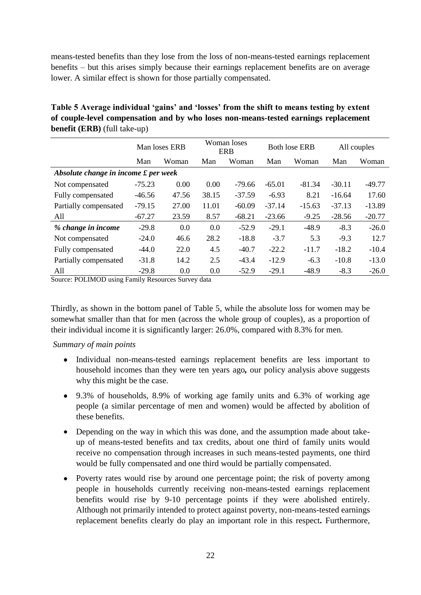means-tested benefits than they lose from the loss of non-means-tested earnings replacement benefits – but this arises simply because their earnings replacement benefits are on average lower. A similar effect is shown for those partially compensated.

| Table 5 Average individual 'gains' and 'losses' from the shift to means testing by extent |
|-------------------------------------------------------------------------------------------|
| of couple-level compensation and by who loses non-means-tested earnings replacement       |
| <b>benefit (ERB)</b> (full take-up)                                                       |

|                                      | Man loses ERB |       | Woman loses<br><b>ERB</b> |          | <b>Both lose ERB</b> |          | All couples |          |
|--------------------------------------|---------------|-------|---------------------------|----------|----------------------|----------|-------------|----------|
|                                      | Man           | Woman | Man                       | Woman    | Man                  | Woman    | Man         | Woman    |
| Absolute change in income £ per week |               |       |                           |          |                      |          |             |          |
| Not compensated                      | $-75.23$      | 0.00  | 0.00                      | $-79.66$ | $-65.01$             | $-81.34$ | $-30.11$    | $-49.77$ |
| Fully compensated                    | $-46.56$      | 47.56 | 38.15                     | $-37.59$ | $-6.93$              | 8.21     | $-16.64$    | 17.60    |
| Partially compensated                | $-79.15$      | 27.00 | 11.01                     | $-60.09$ | $-37.14$             | $-15.63$ | $-37.13$    | $-13.89$ |
| All                                  | $-67.27$      | 23.59 | 8.57                      | $-68.21$ | $-23.66$             | $-9.25$  | $-28.56$    | $-20.77$ |
| % change in income                   | $-29.8$       | 0.0   | 0.0                       | $-52.9$  | $-29.1$              | $-48.9$  | $-8.3$      | $-26.0$  |
| Not compensated                      | $-24.0$       | 46.6  | 28.2                      | $-18.8$  | $-3.7$               | 5.3      | $-9.3$      | 12.7     |
| Fully compensated                    | $-44.0$       | 22.0  | 4.5                       | $-40.7$  | $-22.2$              | $-11.7$  | $-18.2$     | $-10.4$  |
| Partially compensated                | $-31.8$       | 14.2  | 2.5                       | $-43.4$  | $-12.9$              | $-6.3$   | $-10.8$     | $-13.0$  |
| All                                  | $-29.8$       | 0.0   | 0.0                       | $-52.9$  | $-29.1$              | $-48.9$  | $-8.3$      | $-26.0$  |

Source: POLIMOD using Family Resources Survey data

Thirdly, as shown in the bottom panel of Table 5, while the absolute loss for women may be somewhat smaller than that for men (across the whole group of couples), as a proportion of their individual income it is significantly larger: 26.0%, compared with 8.3% for men.

*Summary of main points*

- Individual non-means-tested earnings replacement benefits are less important to household incomes than they were ten years ago*,* our policy analysis above suggests why this might be the case.
- 9.3% of households, 8.9% of working age family units and 6.3% of working age people (a similar percentage of men and women) would be affected by abolition of these benefits.
- Depending on the way in which this was done, and the assumption made about takeup of means-tested benefits and tax credits, about one third of family units would receive no compensation through increases in such means-tested payments, one third would be fully compensated and one third would be partially compensated.
- Poverty rates would rise by around one percentage point; the risk of poverty among people in households currently receiving non-means-tested earnings replacement benefits would rise by 9-10 percentage points if they were abolished entirely. Although not primarily intended to protect against poverty, non-means-tested earnings replacement benefits clearly do play an important role in this respect*.* Furthermore,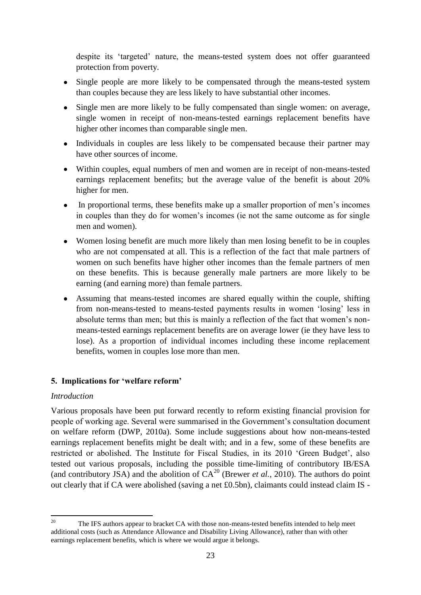despite its "targeted" nature, the means-tested system does not offer guaranteed protection from poverty.

- Single people are more likely to be compensated through the means-tested system than couples because they are less likely to have substantial other incomes.
- Single men are more likely to be fully compensated than single women: on average, single women in receipt of non-means-tested earnings replacement benefits have higher other incomes than comparable single men.
- Individuals in couples are less likely to be compensated because their partner may have other sources of income.
- Within couples, equal numbers of men and women are in receipt of non-means-tested earnings replacement benefits; but the average value of the benefit is about 20% higher for men.
- In proportional terms, these benefits make up a smaller proportion of men"s incomes  $\bullet$ in couples than they do for women"s incomes (ie not the same outcome as for single men and women).
- Women losing benefit are much more likely than men losing benefit to be in couples who are not compensated at all. This is a reflection of the fact that male partners of women on such benefits have higher other incomes than the female partners of men on these benefits. This is because generally male partners are more likely to be earning (and earning more) than female partners.
- Assuming that means-tested incomes are shared equally within the couple, shifting from non-means-tested to means-tested payments results in women "losing" less in absolute terms than men; but this is mainly a reflection of the fact that women"s nonmeans-tested earnings replacement benefits are on average lower (ie they have less to lose). As a proportion of individual incomes including these income replacement benefits, women in couples lose more than men.

## **5. Implications for 'welfare reform'**

## *Introduction*

Various proposals have been put forward recently to reform existing financial provision for people of working age. Several were summarised in the Government"s consultation document on welfare reform (DWP, 2010a). Some include suggestions about how non-means-tested earnings replacement benefits might be dealt with; and in a few, some of these benefits are restricted or abolished. The Institute for Fiscal Studies, in its 2010 'Green Budget', also tested out various proposals, including the possible time-limiting of contributory IB/ESA (and contributory JSA) and the abolition of  $CA^{20}$  (Brewer *et al.*, 2010). The authors do point out clearly that if CA were abolished (saving a net £0.5bn), claimants could instead claim IS -

 $20$ <sup>20</sup> The IFS authors appear to bracket CA with those non-means-tested benefits intended to help meet additional costs (such as Attendance Allowance and Disability Living Allowance), rather than with other earnings replacement benefits, which is where we would argue it belongs.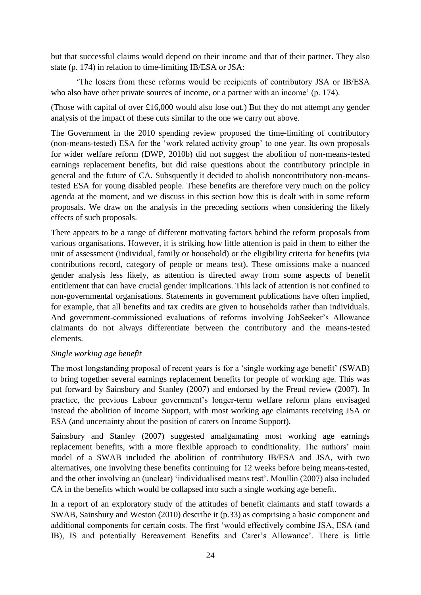but that successful claims would depend on their income and that of their partner. They also state (p. 174) in relation to time-limiting IB/ESA or JSA:

"The losers from these reforms would be recipients of contributory JSA or IB/ESA who also have other private sources of income, or a partner with an income' (p. 174).

(Those with capital of over £16,000 would also lose out.) But they do not attempt any gender analysis of the impact of these cuts similar to the one we carry out above.

The Government in the 2010 spending review proposed the time-limiting of contributory (non-means-tested) ESA for the "work related activity group" to one year. Its own proposals for wider welfare reform (DWP, 2010b) did not suggest the abolition of non-means-tested earnings replacement benefits, but did raise questions about the contributory principle in general and the future of CA. Subsquently it decided to abolish noncontributory non-meanstested ESA for young disabled people. These benefits are therefore very much on the policy agenda at the moment, and we discuss in this section how this is dealt with in some reform proposals. We draw on the analysis in the preceding sections when considering the likely effects of such proposals.

There appears to be a range of different motivating factors behind the reform proposals from various organisations. However, it is striking how little attention is paid in them to either the unit of assessment (individual, family or household) or the eligibility criteria for benefits (via contributions record, category of people or means test). These omissions make a nuanced gender analysis less likely, as attention is directed away from some aspects of benefit entitlement that can have crucial gender implications. This lack of attention is not confined to non-governmental organisations. Statements in government publications have often implied, for example, that all benefits and tax credits are given to households rather than individuals. And government-commissioned evaluations of reforms involving JobSeeker's Allowance claimants do not always differentiate between the contributory and the means-tested elements.

## *Single working age benefit*

The most longstanding proposal of recent years is for a 'single working age benefit' (SWAB) to bring together several earnings replacement benefits for people of working age. This was put forward by Sainsbury and Stanley (2007) and endorsed by the Freud review (2007). In practice, the previous Labour government"s longer-term welfare reform plans envisaged instead the abolition of Income Support, with most working age claimants receiving JSA or ESA (and uncertainty about the position of carers on Income Support).

Sainsbury and Stanley (2007) suggested amalgamating most working age earnings replacement benefits, with a more flexible approach to conditionality. The authors' main model of a SWAB included the abolition of contributory IB/ESA and JSA, with two alternatives, one involving these benefits continuing for 12 weeks before being means-tested, and the other involving an (unclear) 'individualised means test'. Moullin (2007) also included CA in the benefits which would be collapsed into such a single working age benefit.

In a report of an exploratory study of the attitudes of benefit claimants and staff towards a SWAB, Sainsbury and Weston (2010) describe it (p.33) as comprising a basic component and additional components for certain costs. The first "would effectively combine JSA, ESA (and IB), IS and potentially Bereavement Benefits and Carer's Allowance'. There is little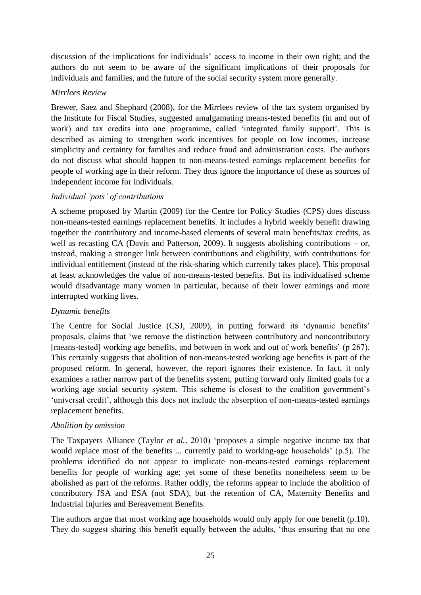discussion of the implications for individuals" access to income in their own right; and the authors do not seem to be aware of the significant implications of their proposals for individuals and families, and the future of the social security system more generally.

## *Mirrlees Review*

Brewer, Saez and Shephard (2008), for the Mirrlees review of the tax system organised by the Institute for Fiscal Studies, suggested amalgamating means-tested benefits (in and out of work) and tax credits into one programme, called 'integrated family support'. This is described as aiming to strengthen work incentives for people on low incomes, increase simplicity and certainty for families and reduce fraud and administration costs. The authors do not discuss what should happen to non-means-tested earnings replacement benefits for people of working age in their reform. They thus ignore the importance of these as sources of independent income for individuals.

## *Individual 'pots' of contributions*

A scheme proposed by Martin (2009) for the Centre for Policy Studies (CPS) does discuss non-means-tested earnings replacement benefits. It includes a hybrid weekly benefit drawing together the contributory and income-based elements of several main benefits/tax credits, as well as recasting CA (Davis and Patterson, 2009). It suggests abolishing contributions – or, instead, making a stronger link between contributions and eligibility, with contributions for individual entitlement (instead of the risk-sharing which currently takes place). This proposal at least acknowledges the value of non-means-tested benefits. But its individualised scheme would disadvantage many women in particular, because of their lower earnings and more interrupted working lives.

## *Dynamic benefits*

The Centre for Social Justice (CSJ, 2009), in putting forward its "dynamic benefits" proposals, claims that "we remove the distinction between contributory and noncontributory [means-tested] working age benefits, and between in work and out of work benefits' (p 267). This certainly suggests that abolition of non-means-tested working age benefits is part of the proposed reform. In general, however, the report ignores their existence. In fact, it only examines a rather narrow part of the benefits system, putting forward only limited goals for a working age social security system. This scheme is closest to the coalition government's 'universal credit', although this does not include the absorption of non-means-tested earnings replacement benefits.

## *Abolition by omission*

The Taxpayers Alliance (Taylor *et al.*, 2010) "proposes a simple negative income tax that would replace most of the benefits ... currently paid to working-age households' (p.5). The problems identified do not appear to implicate non-means-tested earnings replacement benefits for people of working age; yet some of these benefits nonetheless seem to be abolished as part of the reforms. Rather oddly, the reforms appear to include the abolition of contributory JSA and ESA (not SDA), but the retention of CA, Maternity Benefits and Industrial Injuries and Bereavement Benefits.

The authors argue that most working age households would only apply for one benefit (p.10). They do suggest sharing this benefit equally between the adults, "thus ensuring that no one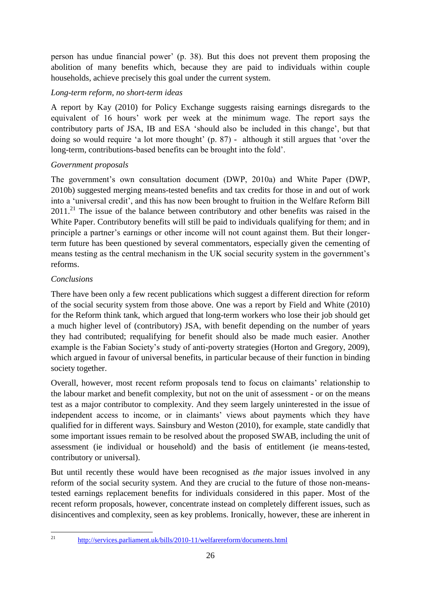person has undue financial power" (p. 38). But this does not prevent them proposing the abolition of many benefits which, because they are paid to individuals within couple households, achieve precisely this goal under the current system.

## *Long-term reform, no short-term ideas*

A report by Kay (2010) for Policy Exchange suggests raising earnings disregards to the equivalent of 16 hours" work per week at the minimum wage. The report says the contributory parts of JSA, IB and ESA "should also be included in this change", but that doing so would require 'a lot more thought' (p. 87) - although it still argues that 'over the long-term, contributions-based benefits can be brought into the fold".

## *Government proposals*

The government's own consultation document (DWP, 2010a) and White Paper (DWP, 2010b) suggested merging means-tested benefits and tax credits for those in and out of work into a "universal credit", and this has now been brought to fruition in the Welfare Reform Bill  $2011<sup>21</sup>$ . The issue of the balance between contributory and other benefits was raised in the White Paper. Contributory benefits will still be paid to individuals qualifying for them; and in principle a partner"s earnings or other income will not count against them. But their longerterm future has been questioned by several commentators, especially given the cementing of means testing as the central mechanism in the UK social security system in the government"s reforms.

## *Conclusions*

There have been only a few recent publications which suggest a different direction for reform of the social security system from those above. One was a report by Field and White (2010) for the Reform think tank, which argued that long-term workers who lose their job should get a much higher level of (contributory) JSA, with benefit depending on the number of years they had contributed; requalifying for benefit should also be made much easier. Another example is the Fabian Society's study of anti-poverty strategies (Horton and Gregory, 2009), which argued in favour of universal benefits, in particular because of their function in binding society together.

Overall, however, most recent reform proposals tend to focus on claimants" relationship to the labour market and benefit complexity, but not on the unit of assessment - or on the means test as a major contributor to complexity. And they seem largely uninterested in the issue of independent access to income, or in claimants' views about payments which they have qualified for in different ways. Sainsbury and Weston (2010), for example, state candidly that some important issues remain to be resolved about the proposed SWAB, including the unit of assessment (ie individual or household) and the basis of entitlement (ie means-tested, contributory or universal).

But until recently these would have been recognised as *the* major issues involved in any reform of the social security system. And they are crucial to the future of those non-meanstested earnings replacement benefits for individuals considered in this paper. Most of the recent reform proposals, however, concentrate instead on completely different issues, such as disincentives and complexity, seen as key problems. Ironically, however, these are inherent in

 $21$ 

<sup>21</sup> <http://services.parliament.uk/bills/2010-11/welfarereform/documents.html>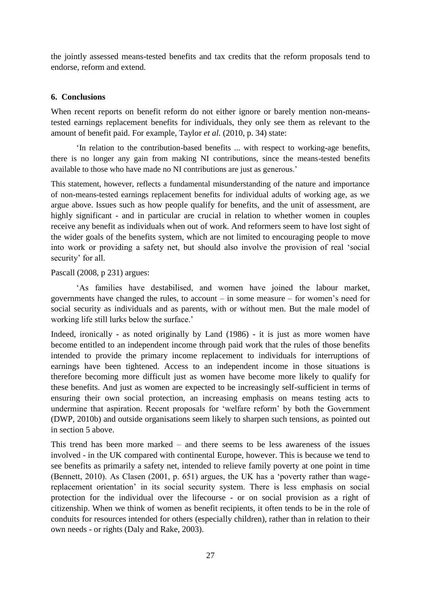the jointly assessed means-tested benefits and tax credits that the reform proposals tend to endorse, reform and extend.

## **6. Conclusions**

When recent reports on benefit reform do not either ignore or barely mention non-meanstested earnings replacement benefits for individuals, they only see them as relevant to the amount of benefit paid. For example, Taylor *et al.* (2010, p. 34) state:

"In relation to the contribution-based benefits ... with respect to working-age benefits, there is no longer any gain from making NI contributions, since the means-tested benefits available to those who have made no NI contributions are just as generous."

This statement, however, reflects a fundamental misunderstanding of the nature and importance of non-means-tested earnings replacement benefits for individual adults of working age, as we argue above. Issues such as how people qualify for benefits, and the unit of assessment, are highly significant - and in particular are crucial in relation to whether women in couples receive any benefit as individuals when out of work. And reformers seem to have lost sight of the wider goals of the benefits system, which are not limited to encouraging people to move into work or providing a safety net, but should also involve the provision of real "social security' for all.

Pascall (2008, p 231) argues:

"As families have destabilised, and women have joined the labour market, governments have changed the rules, to account  $-$  in some measure  $-$  for women's need for social security as individuals and as parents, with or without men. But the male model of working life still lurks below the surface.'

Indeed, ironically - as noted originally by Land (1986) - it is just as more women have become entitled to an independent income through paid work that the rules of those benefits intended to provide the primary income replacement to individuals for interruptions of earnings have been tightened. Access to an independent income in those situations is therefore becoming more difficult just as women have become more likely to qualify for these benefits. And just as women are expected to be increasingly self-sufficient in terms of ensuring their own social protection, an increasing emphasis on means testing acts to undermine that aspiration. Recent proposals for "welfare reform" by both the Government (DWP, 2010b) and outside organisations seem likely to sharpen such tensions, as pointed out in section 5 above.

This trend has been more marked – and there seems to be less awareness of the issues involved - in the UK compared with continental Europe, however. This is because we tend to see benefits as primarily a safety net, intended to relieve family poverty at one point in time (Bennett, 2010). As Clasen (2001, p. 651) argues, the UK has a "poverty rather than wagereplacement orientation" in its social security system. There is less emphasis on social protection for the individual over the lifecourse - or on social provision as a right of citizenship. When we think of women as benefit recipients, it often tends to be in the role of conduits for resources intended for others (especially children), rather than in relation to their own needs - or rights (Daly and Rake, 2003).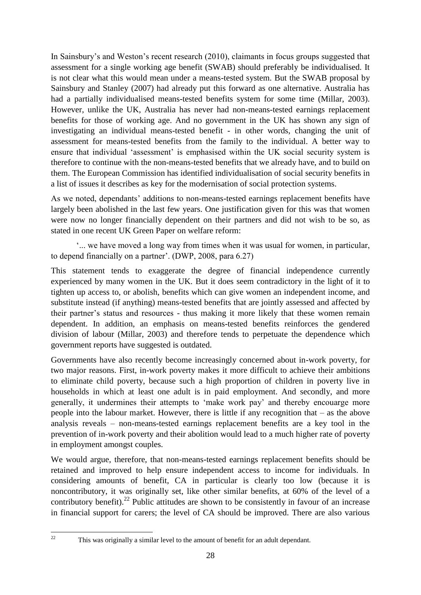In Sainsbury's and Weston's recent research (2010), claimants in focus groups suggested that assessment for a single working age benefit (SWAB) should preferably be individualised. It is not clear what this would mean under a means-tested system. But the SWAB proposal by Sainsbury and Stanley (2007) had already put this forward as one alternative. Australia has had a partially individualised means-tested benefits system for some time (Millar, 2003). However, unlike the UK, Australia has never had non-means-tested earnings replacement benefits for those of working age. And no government in the UK has shown any sign of investigating an individual means-tested benefit - in other words, changing the unit of assessment for means-tested benefits from the family to the individual. A better way to ensure that individual 'assessment' is emphasised within the UK social security system is therefore to continue with the non-means-tested benefits that we already have, and to build on them. The European Commission has identified individualisation of social security benefits in a list of issues it describes as key for the modernisation of social protection systems.

As we noted, dependants" additions to non-means-tested earnings replacement benefits have largely been abolished in the last few years. One justification given for this was that women were now no longer financially dependent on their partners and did not wish to be so, as stated in one recent UK Green Paper on welfare reform:

"... we have moved a long way from times when it was usual for women, in particular, to depend financially on a partner'. (DWP, 2008, para 6.27)

This statement tends to exaggerate the degree of financial independence currently experienced by many women in the UK. But it does seem contradictory in the light of it to tighten up access to, or abolish, benefits which can give women an independent income, and substitute instead (if anything) means-tested benefits that are jointly assessed and affected by their partner"s status and resources - thus making it more likely that these women remain dependent. In addition, an emphasis on means-tested benefits reinforces the gendered division of labour (Millar, 2003) and therefore tends to perpetuate the dependence which government reports have suggested is outdated.

Governments have also recently become increasingly concerned about in-work poverty, for two major reasons. First, in-work poverty makes it more difficult to achieve their ambitions to eliminate child poverty, because such a high proportion of children in poverty live in households in which at least one adult is in paid employment. And secondly, and more generally, it undermines their attempts to "make work pay" and thereby encouarge more people into the labour market. However, there is little if any recognition that – as the above analysis reveals – non-means-tested earnings replacement benefits are a key tool in the prevention of in-work poverty and their abolition would lead to a much higher rate of poverty in employment amongst couples.

We would argue, therefore, that non-means-tested earnings replacement benefits should be retained and improved to help ensure independent access to income for individuals. In considering amounts of benefit, CA in particular is clearly too low (because it is noncontributory, it was originally set, like other similar benefits, at 60% of the level of a contributory benefit).<sup>22</sup> Public attitudes are shown to be consistently in favour of an increase in financial support for carers; the level of CA should be improved. There are also various

22

This was originally a similar level to the amount of benefit for an adult dependant.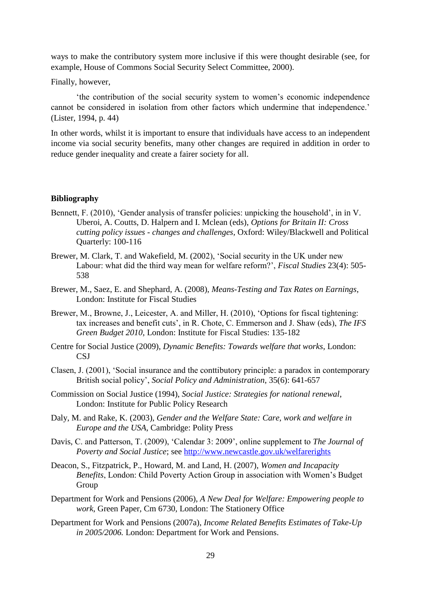ways to make the contributory system more inclusive if this were thought desirable (see, for example, House of Commons Social Security Select Committee, 2000).

Finally, however,

"the contribution of the social security system to women"s economic independence cannot be considered in isolation from other factors which undermine that independence.' (Lister, 1994, p. 44)

In other words, whilst it is important to ensure that individuals have access to an independent income via social security benefits, many other changes are required in addition in order to reduce gender inequality and create a fairer society for all.

#### **Bibliography**

- Bennett, F. (2010), 'Gender analysis of transfer policies: unpicking the household', in in V. Uberoi, A. Coutts, D. Halpern and I. Mclean (eds), *Options for Britain II: Cross cutting policy issues - changes and challenges,* Oxford: Wiley/Blackwell and Political Quarterly: 100-116
- Brewer, M. Clark, T. and Wakefield, M. (2002), "Social security in the UK under new Labour: what did the third way mean for welfare reform?", *Fiscal Studies* 23(4): 505- 538
- Brewer, M., Saez, E. and Shephard, A. (2008), *Means-Testing and Tax Rates on Earnings*, London: Institute for Fiscal Studies
- Brewer, M., Browne, J., Leicester, A. and Miller, H. (2010), 'Options for fiscal tightening: tax increases and benefit cuts", in R. Chote, C. Emmerson and J. Shaw (eds), *The IFS Green Budget 2010*, London: Institute for Fiscal Studies: 135-182
- Centre for Social Justice (2009), *Dynamic Benefits: Towards welfare that works*, London: CSJ
- Clasen, J. (2001), "Social insurance and the conttibutory principle: a paradox in contemporary British social policy", *Social Policy and Administration*, 35(6): 641-657
- Commission on Social Justice (1994), *Social Justice: Strategies for national renewal*, London: Institute for Public Policy Research
- Daly, M. and Rake, K. (2003), *Gender and the Welfare State: Care, work and welfare in Europe and the USA*, Cambridge: Polity Press
- Davis, C. and Patterson, T. (2009), "Calendar 3: 2009", online supplement to *The Journal of Poverty and Social Justice*; see<http://www.newcastle.gov.uk/welfarerights>
- Deacon, S., Fitzpatrick, P., Howard, M. and Land, H. (2007), *Women and Incapacity Benefits*, London: Child Poverty Action Group in association with Women"s Budget Group
- Department for Work and Pensions (2006), *A New Deal for Welfare: Empowering people to work*, Green Paper, Cm 6730, London: The Stationery Office
- Department for Work and Pensions (2007a), *Income Related Benefits Estimates of Take-Up in 2005/2006.* London: Department for Work and Pensions.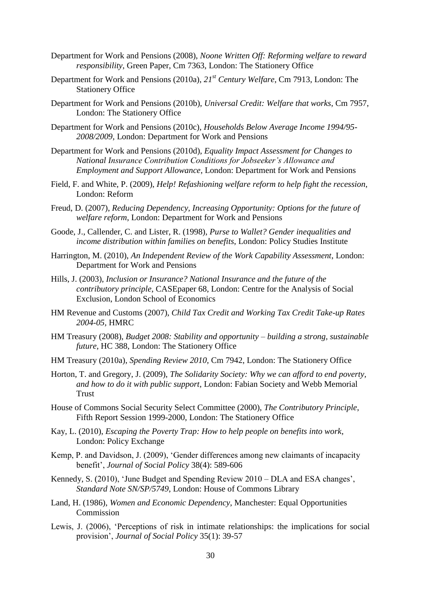- Department for Work and Pensions (2008), *Noone Written Off: Reforming welfare to reward responsibility*, Green Paper, Cm 7363, London: The Stationery Office
- Department for Work and Pensions (2010a), *21st Century Welfare*, Cm 7913, London: The Stationery Office
- Department for Work and Pensions (2010b), *Universal Credit: Welfare that works*, Cm 7957, London: The Stationery Office
- Department for Work and Pensions (2010c), *Households Below Average Income 1994/95- 2008/2009*, London: Department for Work and Pensions
- Department for Work and Pensions (2010d), *Equality Impact Assessment for Changes to National Insurance Contribution Conditions for Jobseeker's Allowance and Employment and Support Allowance*, London: Department for Work and Pensions
- Field, F. and White, P. (2009), *Help! Refashioning welfare reform to help fight the recession*, London: Reform
- Freud, D. (2007), *Reducing Dependency, Increasing Opportunity: Options for the future of welfare reform*, London: Department for Work and Pensions
- Goode, J., Callender, C. and Lister, R. (1998), *Purse to Wallet? Gender inequalities and income distribution within families on benefits*, London: Policy Studies Institute
- Harrington, M. (2010), *An Independent Review of the Work Capability Assessment*, London: Department for Work and Pensions
- Hills, J. (2003), *Inclusion or Insurance? National Insurance and the future of the contributory principle*, CASEpaper 68, London: Centre for the Analysis of Social Exclusion, London School of Economics
- HM Revenue and Customs (2007), *Child Tax Credit and Working Tax Credit Take-up Rates 2004-05,* HMRC
- HM Treasury (2008), *Budget 2008: Stability and opportunity – building a strong, sustainable future*, HC 388, London: The Stationery Office
- HM Treasury (2010a), *Spending Review 2010*, Cm 7942, London: The Stationery Office
- Horton, T. and Gregory, J. (2009), *The Solidarity Society: Why we can afford to end poverty, and how to do it with public support*, London: Fabian Society and Webb Memorial Trust
- House of Commons Social Security Select Committee (2000), *The Contributory Principle*, Fifth Report Session 1999-2000, London: The Stationery Office
- Kay, L. (2010), *Escaping the Poverty Trap: How to help people on benefits into work*, London: Policy Exchange
- Kemp, P. and Davidson, J. (2009), "Gender differences among new claimants of incapacity benefit", *Journal of Social Policy* 38(4): 589-606
- Kennedy, S. (2010), "June Budget and Spending Review 2010 DLA and ESA changes", *Standard Note SN/SP/5749*, London: House of Commons Library
- Land, H. (1986), *Women and Economic Dependency*, Manchester: Equal Opportunities Commission
- Lewis, J. (2006), "Perceptions of risk in intimate relationships: the implications for social provision", *Journal of Social Policy* 35(1): 39-57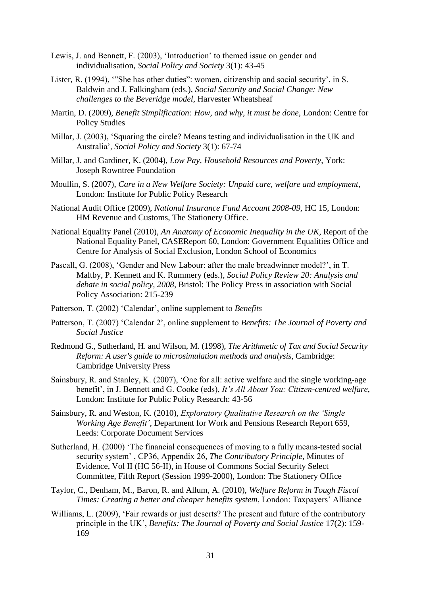- Lewis, J. and Bennett, F. (2003), "Introduction" to themed issue on gender and individualisation, *Social Policy and Society* 3(1): 43-45
- Lister, R. (1994), "She has other duties": women, citizenship and social security', in S. Baldwin and J. Falkingham (eds.), *Social Security and Social Change: New challenges to the Beveridge model*, Harvester Wheatsheaf
- Martin, D. (2009), *Benefit Simplification: How, and why, it must be done*, London: Centre for Policy Studies
- Millar, J. (2003), "Squaring the circle? Means testing and individualisation in the UK and Australia", *Social Policy and Society* 3(1): 67-74
- Millar, J. and Gardiner, K. (2004), *Low Pay, Household Resources and Poverty*, York: Joseph Rowntree Foundation
- Moullin, S. (2007), *Care in a New Welfare Society: Unpaid care, welfare and employment*, London: Institute for Public Policy Research
- National Audit Office (2009), *National Insurance Fund Account 2008-09*, HC 15, London: HM Revenue and Customs, The Stationery Office.
- National Equality Panel (2010), *An Anatomy of Economic Inequality in the UK*, Report of the National Equality Panel, CASEReport 60, London: Government Equalities Office and Centre for Analysis of Social Exclusion, London School of Economics
- Pascall, G. (2008), "Gender and New Labour: after the male breadwinner model?", in T. Maltby, P. Kennett and K. Rummery (eds.), *Social Policy Review 20: Analysis and debate in social policy, 2008*, Bristol: The Policy Press in association with Social Policy Association: 215-239
- Patterson, T. (2002) 'Calendar', online supplement to *Benefits*
- Patterson, T. (2007) "Calendar 2", online supplement to *Benefits: The Journal of Poverty and Social Justice*
- Redmond G., Sutherland, H. and Wilson, M. (1998), *The Arithmetic of Tax and Social Security Reform: A user's guide to microsimulation methods and analysis*, Cambridge: Cambridge University Press
- Sainsbury, R. and Stanley, K. (2007), "One for all: active welfare and the single working-age benefit", in J. Bennett and G. Cooke (eds), *It's All About You: Citizen-centred welfare*, London: Institute for Public Policy Research: 43-56
- Sainsbury, R. and Weston, K. (2010), *Exploratory Qualitative Research on the 'Single Working Age Benefit'*, Department for Work and Pensions Research Report 659, Leeds: Corporate Document Services
- Sutherland, H. (2000) "The financial consequences of moving to a fully means-tested social security system" , CP36, Appendix 26, *The Contributory Principle,* Minutes of Evidence, Vol II (HC 56-II), in House of Commons Social Security Select Committee, Fifth Report (Session 1999-2000), London: The Stationery Office
- Taylor, C., Denham, M., Baron, R. and Allum, A. (2010), *Welfare Reform in Tough Fiscal Times: Creating a better and cheaper benefits system*, London: Taxpayers" Alliance
- Williams, L. (2009), 'Fair rewards or just deserts? The present and future of the contributory principle in the UK", *Benefits: The Journal of Poverty and Social Justice* 17(2): 159- 169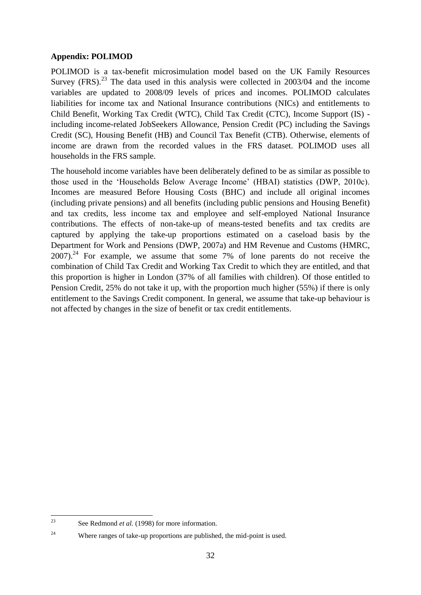## **Appendix: POLIMOD**

POLIMOD is a tax-benefit microsimulation model based on the UK Family Resources Survey (FRS).<sup>23</sup> The data used in this analysis were collected in 2003/04 and the income variables are updated to 2008/09 levels of prices and incomes. POLIMOD calculates liabilities for income tax and National Insurance contributions (NICs) and entitlements to Child Benefit, Working Tax Credit (WTC), Child Tax Credit (CTC), Income Support (IS) including income-related JobSeekers Allowance, Pension Credit (PC) including the Savings Credit (SC), Housing Benefit (HB) and Council Tax Benefit (CTB). Otherwise, elements of income are drawn from the recorded values in the FRS dataset. POLIMOD uses all households in the FRS sample.

The household income variables have been deliberately defined to be as similar as possible to those used in the "Households Below Average Income" (HBAI) statistics (DWP, 2010c). Incomes are measured Before Housing Costs (BHC) and include all original incomes (including private pensions) and all benefits (including public pensions and Housing Benefit) and tax credits, less income tax and employee and self-employed National Insurance contributions. The effects of non-take-up of means-tested benefits and tax credits are captured by applying the take-up proportions estimated on a caseload basis by the Department for Work and Pensions (DWP, 2007a) and HM Revenue and Customs (HMRC,  $2007$ ).<sup>24</sup> For example, we assume that some 7% of lone parents do not receive the combination of Child Tax Credit and Working Tax Credit to which they are entitled, and that this proportion is higher in London (37% of all families with children). Of those entitled to Pension Credit, 25% do not take it up, with the proportion much higher (55%) if there is only entitlement to the Savings Credit component. In general, we assume that take-up behaviour is not affected by changes in the size of benefit or tax credit entitlements.

 $2<sup>2</sup>$ See Redmond *et al.* (1998) for more information.

<sup>&</sup>lt;sup>24</sup> Where ranges of take-up proportions are published, the mid-point is used.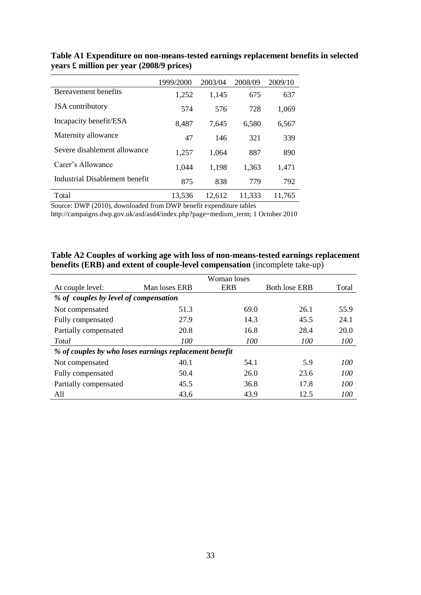|                                | 1999/2000 | 2003/04 | 2008/09 | 2009/10 |
|--------------------------------|-----------|---------|---------|---------|
| Bereavement benefits           | 1,252     | 1,145   | 675     | 637     |
| <b>JSA</b> contributory        | 574       | 576     | 728     | 1,069   |
| Incapacity benefit/ESA         | 8,487     | 7.645   | 6,580   | 6,567   |
| Maternity allowance            | 47        | 146     | 321     | 339     |
| Severe disablement allowance   | 1,257     | 1,064   | 887     | 890     |
| Carer's Allowance              | 1,044     | 1,198   | 1,363   | 1,471   |
| Industrial Disablement benefit | 875       | 838     | 779     | 792     |
| Total                          | 13,536    | 12,612  | 11,333  | 11,765  |

**Table A1 Expenditure on non-means-tested earnings replacement benefits in selected years £ million per year (2008/9 prices)**

Source: DWP (2010), downloaded from DWP benefit expenditure tables

http://campaigns.dwp.gov.uk/asd/asd4/index.php?page=medium\_term; 1 October 2010

| Table A2 Couples of working age with loss of non-means-tested earnings replacement |
|------------------------------------------------------------------------------------|
| <b>benefits (ERB) and extent of couple-level compensation (incomplete take-up)</b> |

|                                       | Woman loses                                            |            |                      |            |  |  |  |
|---------------------------------------|--------------------------------------------------------|------------|----------------------|------------|--|--|--|
| At couple level:                      | Man loses ERB                                          | <b>ERB</b> | <b>Both lose ERB</b> | Total      |  |  |  |
| % of couples by level of compensation |                                                        |            |                      |            |  |  |  |
| Not compensated                       | 51.3                                                   | 69.0       | 26.1                 | 55.9       |  |  |  |
| Fully compensated                     | 27.9                                                   | 14.3       | 45.5                 | 24.1       |  |  |  |
| Partially compensated                 | 20.8                                                   | 16.8       | 28.4                 | 20.0       |  |  |  |
| Total                                 | 100                                                    | 100        | 100                  | <i>100</i> |  |  |  |
|                                       | % of couples by who loses earnings replacement benefit |            |                      |            |  |  |  |
| Not compensated                       | 40.1                                                   | 54.1       | 5.9                  | 100        |  |  |  |
| Fully compensated                     | 50.4                                                   | 26.0       | 23.6                 | 100        |  |  |  |
| Partially compensated                 | 45.5                                                   | 36.8       | 17.8                 | 100        |  |  |  |
| A11                                   | 43.6                                                   | 43.9       | 12.5                 | 100        |  |  |  |